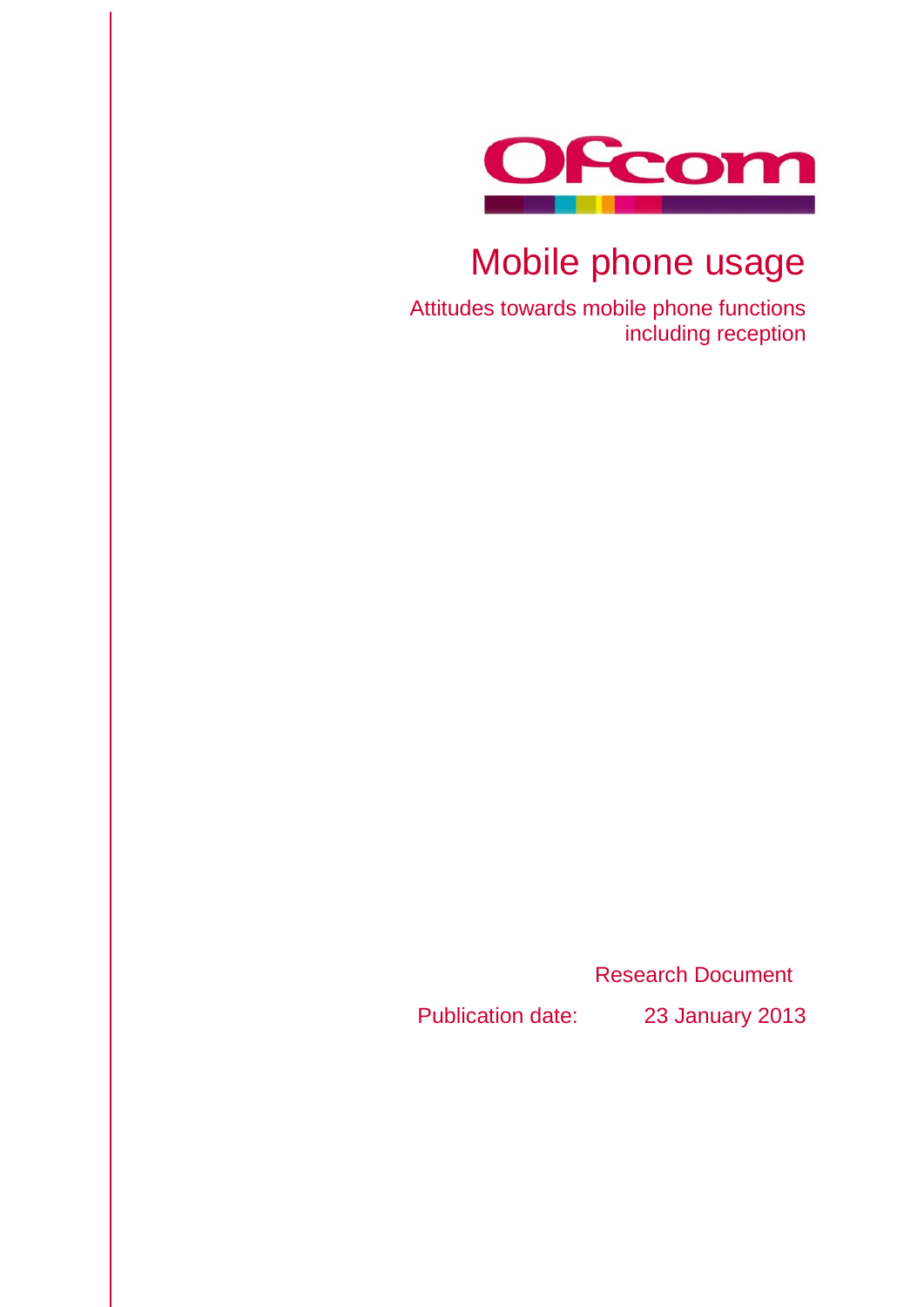

# Mobile phone usage

Attitudes towards mobile phone functions including reception

Research Document

Publication date: 23 January 2013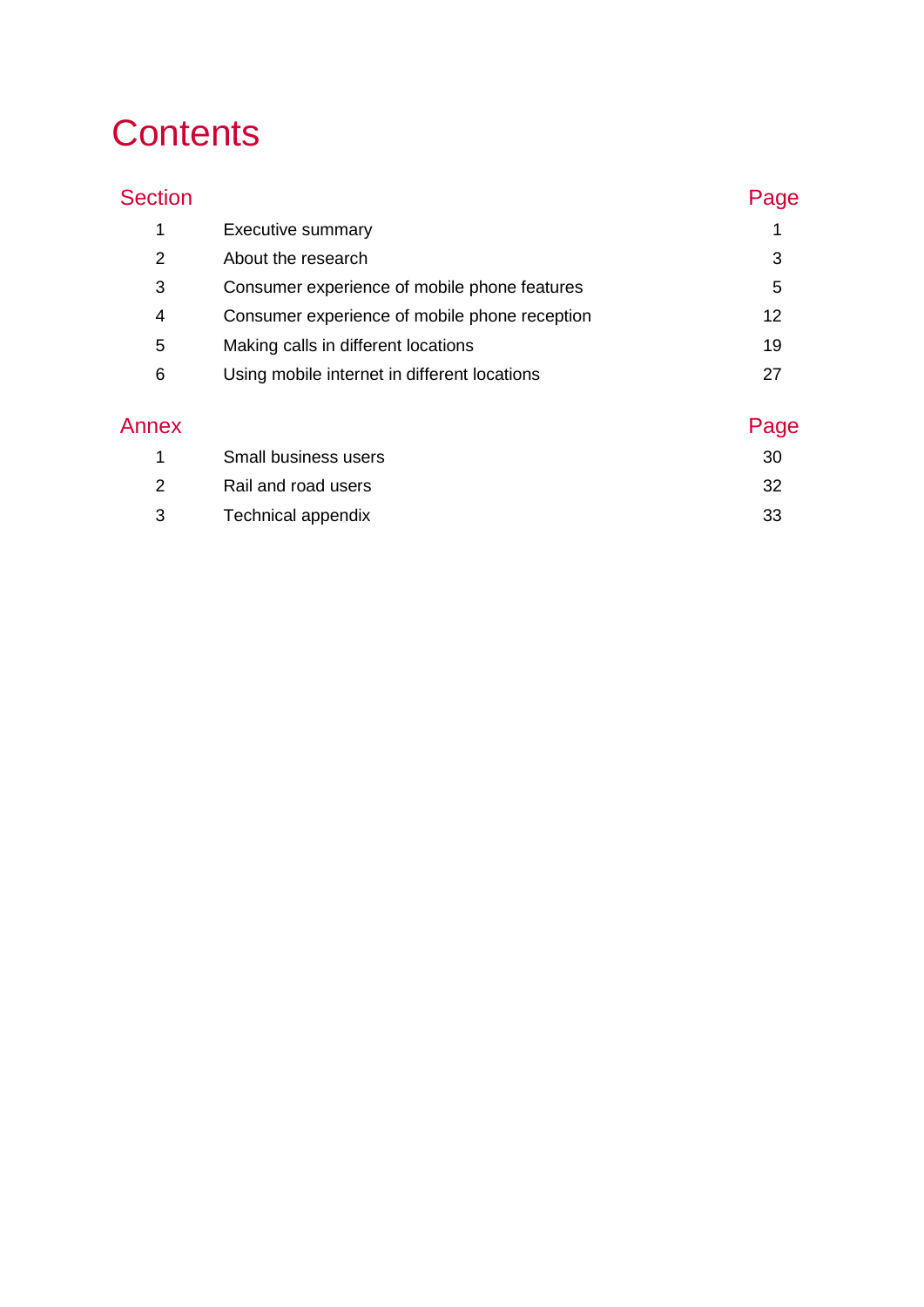# **Contents**

| <b>Section</b> |                                               | Page |
|----------------|-----------------------------------------------|------|
| 1              | <b>Executive summary</b>                      |      |
| 2              | About the research                            | 3    |
| 3              | Consumer experience of mobile phone features  | 5    |
| 4              | Consumer experience of mobile phone reception | 12   |
| 5              | Making calls in different locations           | 19   |
| 6              | Using mobile internet in different locations  | 27   |
| Annex          |                                               | qe   |

| Small business users      | 30  |
|---------------------------|-----|
| Rail and road users       | -32 |
| <b>Technical appendix</b> | -33 |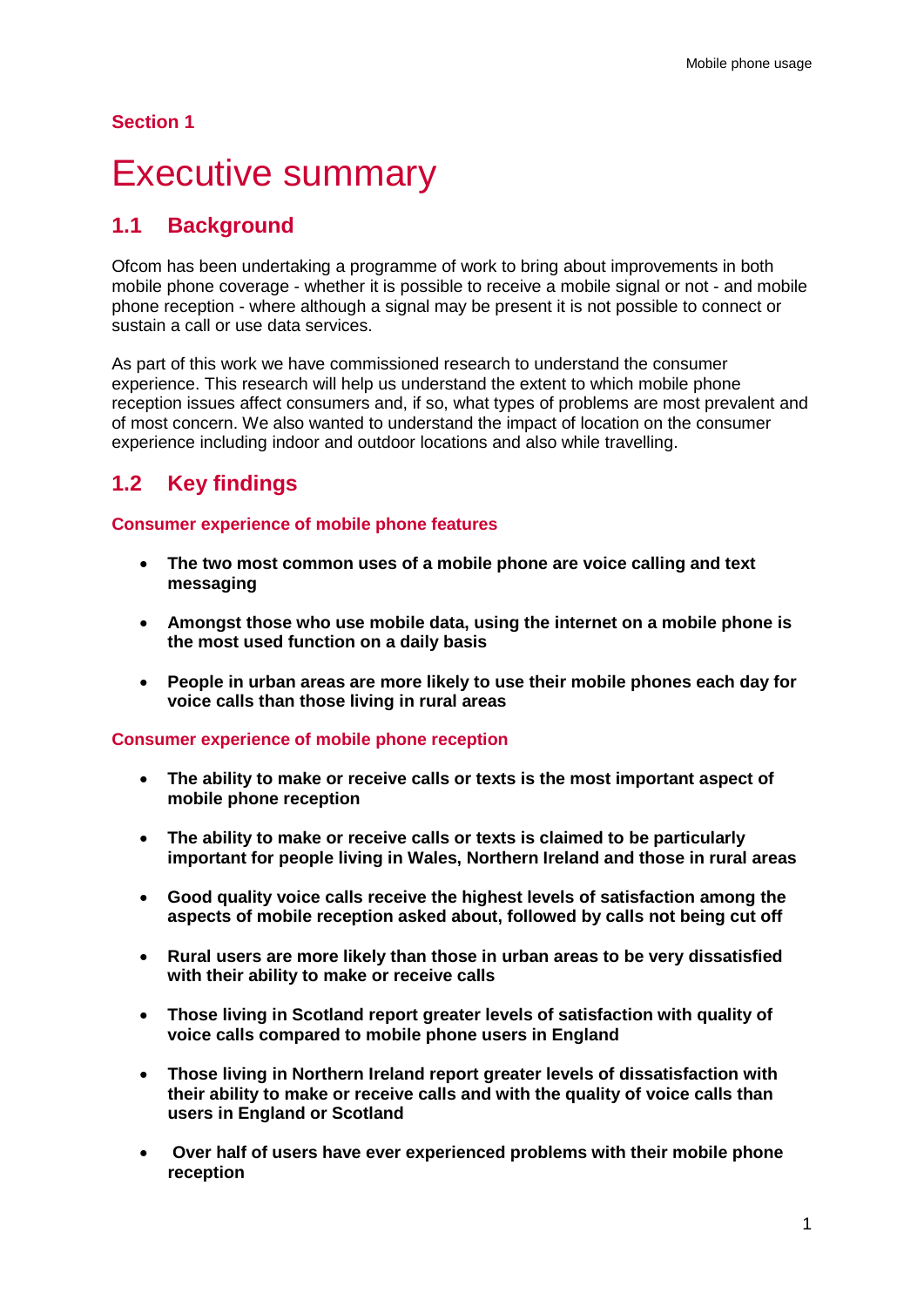### **Section 1**

## <span id="page-3-0"></span>**Executive summary**

## **1.1 Background**

Ofcom has been undertaking a programme of work to bring about improvements in both mobile phone coverage - whether it is possible to receive a mobile signal or not - and mobile phone reception - where although a signal may be present it is not possible to connect or sustain a call or use data services.

As part of this work we have commissioned research to understand the consumer experience. This research will help us understand the extent to which mobile phone reception issues affect consumers and, if so, what types of problems are most prevalent and of most concern. We also wanted to understand the impact of location on the consumer experience including indoor and outdoor locations and also while travelling.

## **1.2 Key findings**

### **Consumer experience of mobile phone features**

- **The two most common uses of a mobile phone are voice calling and text messaging**
- **Amongst those who use mobile data, using the internet on a mobile phone is the most used function on a daily basis**
- **People in urban areas are more likely to use their mobile phones each day for voice calls than those living in rural areas**

### **Consumer experience of mobile phone reception**

- **The ability to make or receive calls or texts is the most important aspect of mobile phone reception**
- **The ability to make or receive calls or texts is claimed to be particularly important for people living in Wales, Northern Ireland and those in rural areas**
- **Good quality voice calls receive the highest levels of satisfaction among the aspects of mobile reception asked about, followed by calls not being cut off**
- **Rural users are more likely than those in urban areas to be very dissatisfied with their ability to make or receive calls**
- **Those living in Scotland report greater levels of satisfaction with quality of voice calls compared to mobile phone users in England**
- **Those living in Northern Ireland report greater levels of dissatisfaction with their ability to make or receive calls and with the quality of voice calls than users in England or Scotland**
- **Over half of users have ever experienced problems with their mobile phone reception**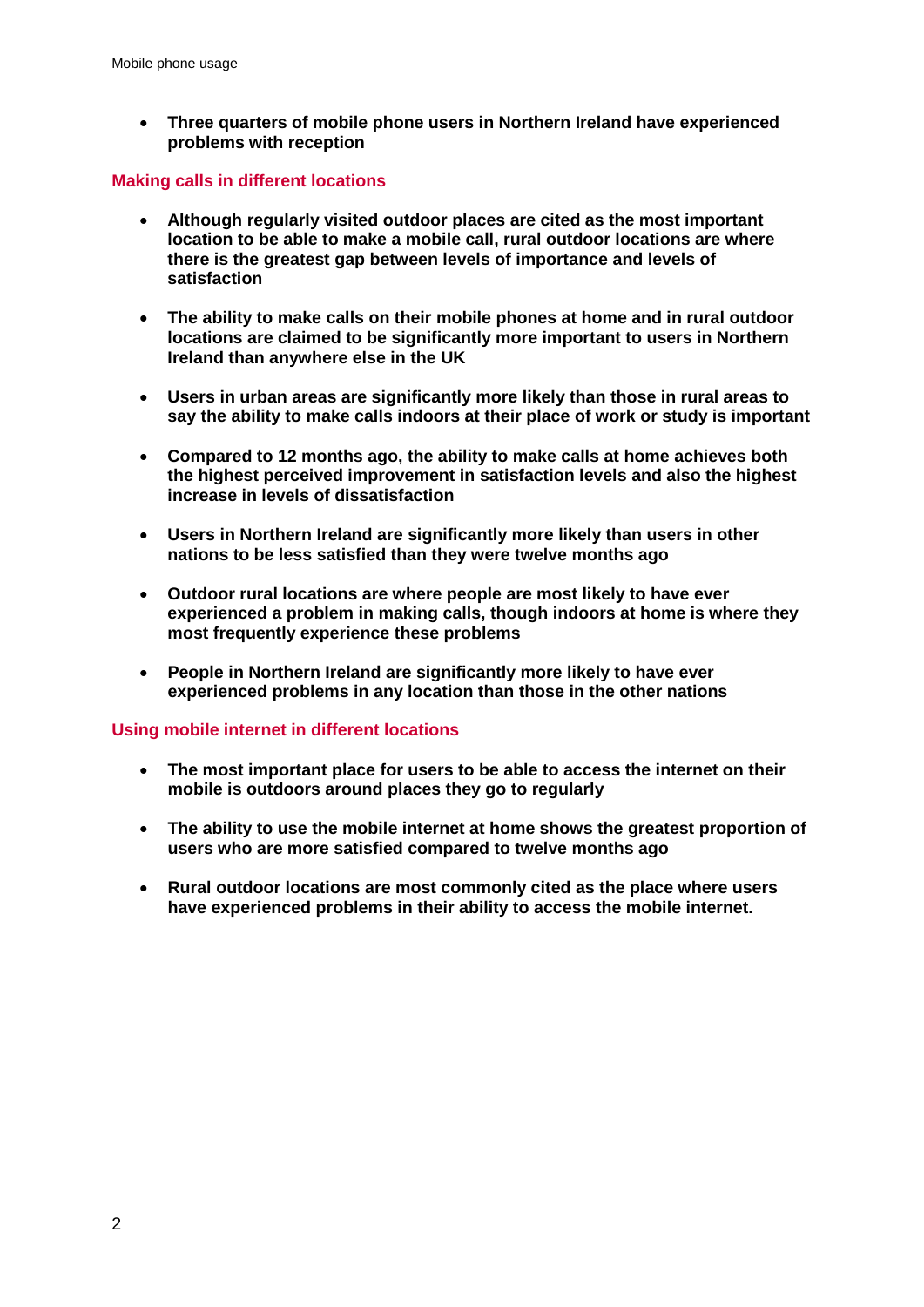• **Three quarters of mobile phone users in Northern Ireland have experienced problems with reception**

### **Making calls in different locations**

- **Although regularly visited outdoor places are cited as the most important location to be able to make a mobile call, rural outdoor locations are where there is the greatest gap between levels of importance and levels of satisfaction**
- **The ability to make calls on their mobile phones at home and in rural outdoor locations are claimed to be significantly more important to users in Northern Ireland than anywhere else in the UK**
- **Users in urban areas are significantly more likely than those in rural areas to say the ability to make calls indoors at their place of work or study is important**
- **Compared to 12 months ago, the ability to make calls at home achieves both the highest perceived improvement in satisfaction levels and also the highest increase in levels of dissatisfaction**
- **Users in Northern Ireland are significantly more likely than users in other nations to be less satisfied than they were twelve months ago**
- **Outdoor rural locations are where people are most likely to have ever experienced a problem in making calls, though indoors at home is where they most frequently experience these problems**
- **People in Northern Ireland are significantly more likely to have ever experienced problems in any location than those in the other nations**

### **Using mobile internet in different locations**

- **The most important place for users to be able to access the internet on their mobile is outdoors around places they go to regularly**
- **The ability to use the mobile internet at home shows the greatest proportion of users who are more satisfied compared to twelve months ago**
- **Rural outdoor locations are most commonly cited as the place where users have experienced problems in their ability to access the mobile internet.**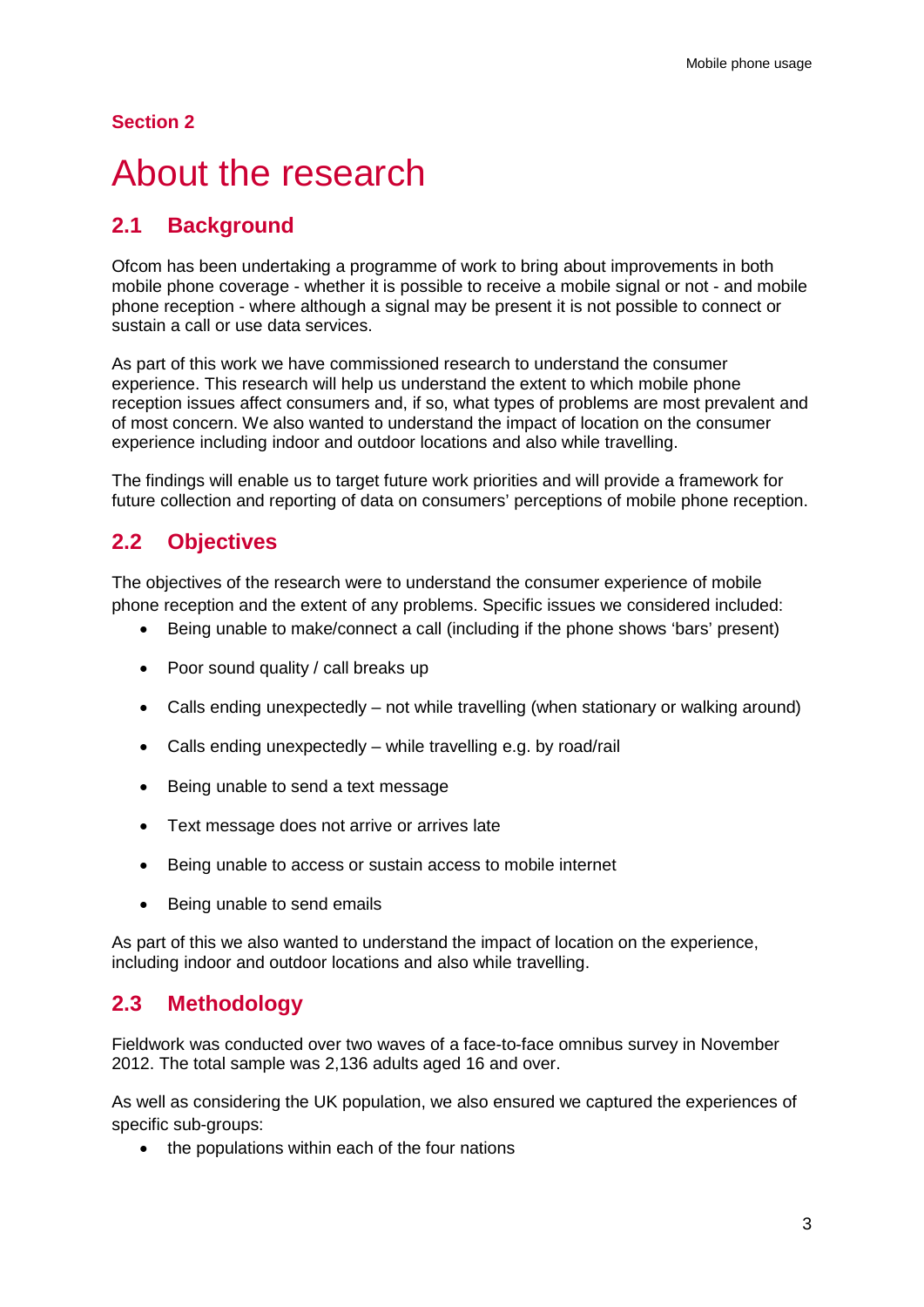### **Section 2**

## <span id="page-5-0"></span>About the research

## **2.1 Background**

Ofcom has been undertaking a programme of work to bring about improvements in both mobile phone coverage - whether it is possible to receive a mobile signal or not - and mobile phone reception - where although a signal may be present it is not possible to connect or sustain a call or use data services.

As part of this work we have commissioned research to understand the consumer experience. This research will help us understand the extent to which mobile phone reception issues affect consumers and, if so, what types of problems are most prevalent and of most concern. We also wanted to understand the impact of location on the consumer experience including indoor and outdoor locations and also while travelling.

The findings will enable us to target future work priorities and will provide a framework for future collection and reporting of data on consumers' perceptions of mobile phone reception.

## **2.2 Objectives**

The objectives of the research were to understand the consumer experience of mobile phone reception and the extent of any problems. Specific issues we considered included:

- Being unable to make/connect a call (including if the phone shows 'bars' present)
- Poor sound quality / call breaks up
- Calls ending unexpectedly not while travelling (when stationary or walking around)
- Calls ending unexpectedly while travelling e.g. by road/rail
- Being unable to send a text message
- Text message does not arrive or arrives late
- Being unable to access or sustain access to mobile internet
- Being unable to send emails

As part of this we also wanted to understand the impact of location on the experience, including indoor and outdoor locations and also while travelling.

### **2.3 Methodology**

Fieldwork was conducted over two waves of a face-to-face omnibus survey in November 2012. The total sample was 2,136 adults aged 16 and over.

As well as considering the UK population, we also ensured we captured the experiences of specific sub-groups:

• the populations within each of the four nations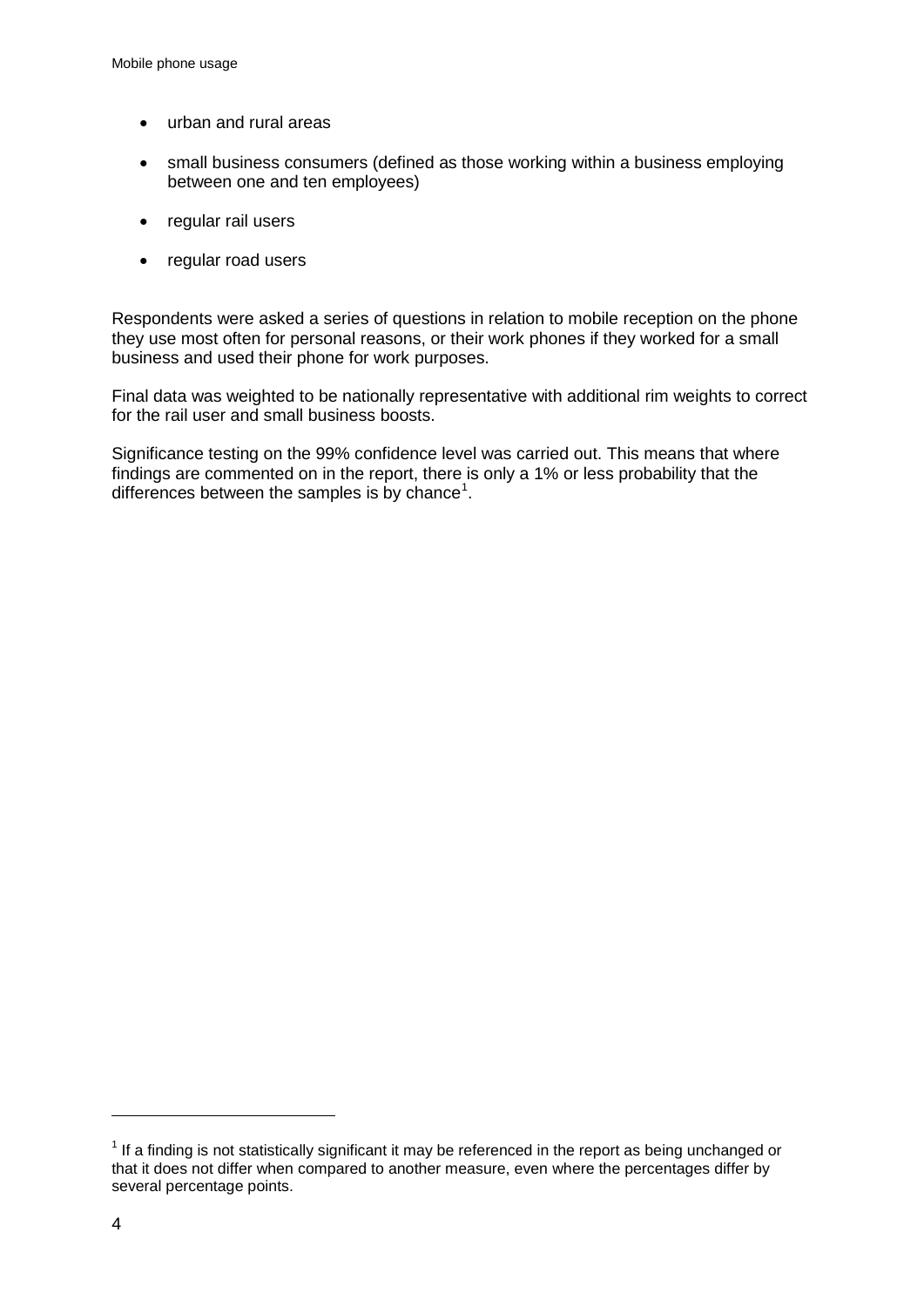- urban and rural areas
- small business consumers (defined as those working within a business employing between one and ten employees)
- regular rail users
- regular road users

Respondents were asked a series of questions in relation to mobile reception on the phone they use most often for personal reasons, or their work phones if they worked for a small business and used their phone for work purposes.

Final data was weighted to be nationally representative with additional rim weights to correct for the rail user and small business boosts.

Significance testing on the 99% confidence level was carried out. This means that where findings are commented on in the report, there is only a 1% or less probability that the differences between the samples is by chance<sup>[1](#page-6-0)</sup>.

-

<span id="page-6-0"></span> $1$  If a finding is not statistically significant it may be referenced in the report as being unchanged or that it does not differ when compared to another measure, even where the percentages differ by several percentage points.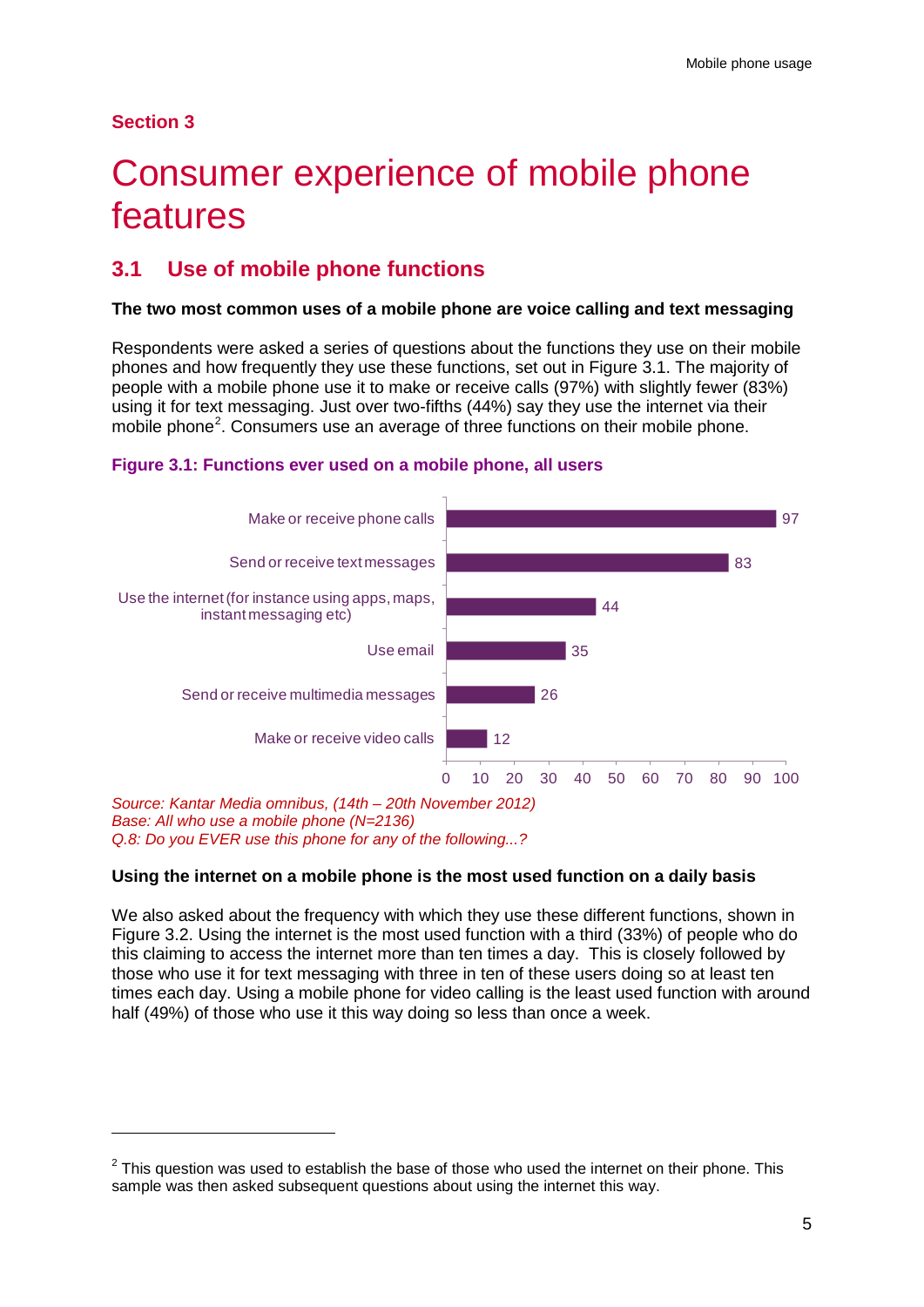### **Section 3**

-

# <span id="page-7-0"></span>Consumer experience of mobile phone features

## **3.1 Use of mobile phone functions**

### **The two most common uses of a mobile phone are voice calling and text messaging**

Respondents were asked a series of questions about the functions they use on their mobile phones and how frequently they use these functions, set out in Figure 3.1. The majority of people with a mobile phone use it to make or receive calls (97%) with slightly fewer (83%) using it for text messaging. Just over two-fifths (44%) say they use the internet via their mobile phone<sup>[2](#page-7-1)</sup>. Consumers use an average of three functions on their mobile phone.





### **Using the internet on a mobile phone is the most used function on a daily basis**

We also asked about the frequency with which they use these different functions, shown in Figure 3.2. Using the internet is the most used function with a third (33%) of people who do this claiming to access the internet more than ten times a day. This is closely followed by those who use it for text messaging with three in ten of these users doing so at least ten times each day. Using a mobile phone for video calling is the least used function with around half (49%) of those who use it this way doing so less than once a week.

<span id="page-7-1"></span> $2$  This question was used to establish the base of those who used the internet on their phone. This sample was then asked subsequent questions about using the internet this way.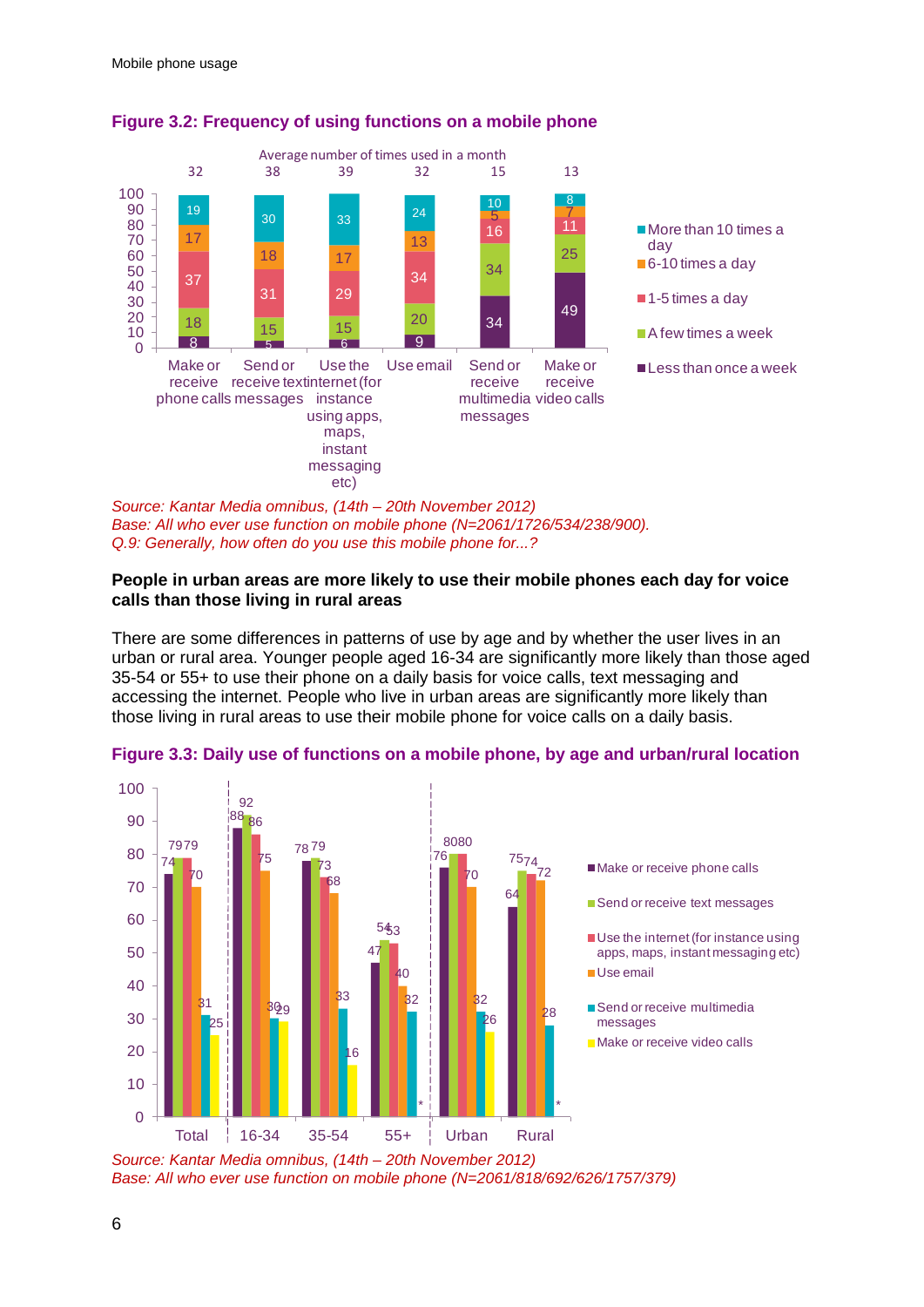

### **Figure 3.2: Frequency of using functions on a mobile phone**

*Source: Kantar Media omnibus, (14th – 20th November 2012)* Base: All who ever use function on mobile phone (N=2061/1726/534/238/900). *Q.9: Generally, how often do you use this mobile phone for...?*

### **People in urban areas are more likely to use their mobile phones each day for voice calls than those living in rural areas**

There are some differences in patterns of use by age and by whether the user lives in an urban or rural area. Younger people aged 16-34 are significantly more likely than those aged 35-54 or 55+ to use their phone on a daily basis for voice calls, text messaging and accessing the internet. People who live in urban areas are significantly more likely than those living in rural areas to use their mobile phone for voice calls on a daily basis.



**Figure 3.3: Daily use of functions on a mobile phone, by age and urban/rural location**

*Source: Kantar Media omnibus, (14th – 20th November 2012) Base: All who ever use function on mobile phone (N=2061/818/692/626/1757/379)*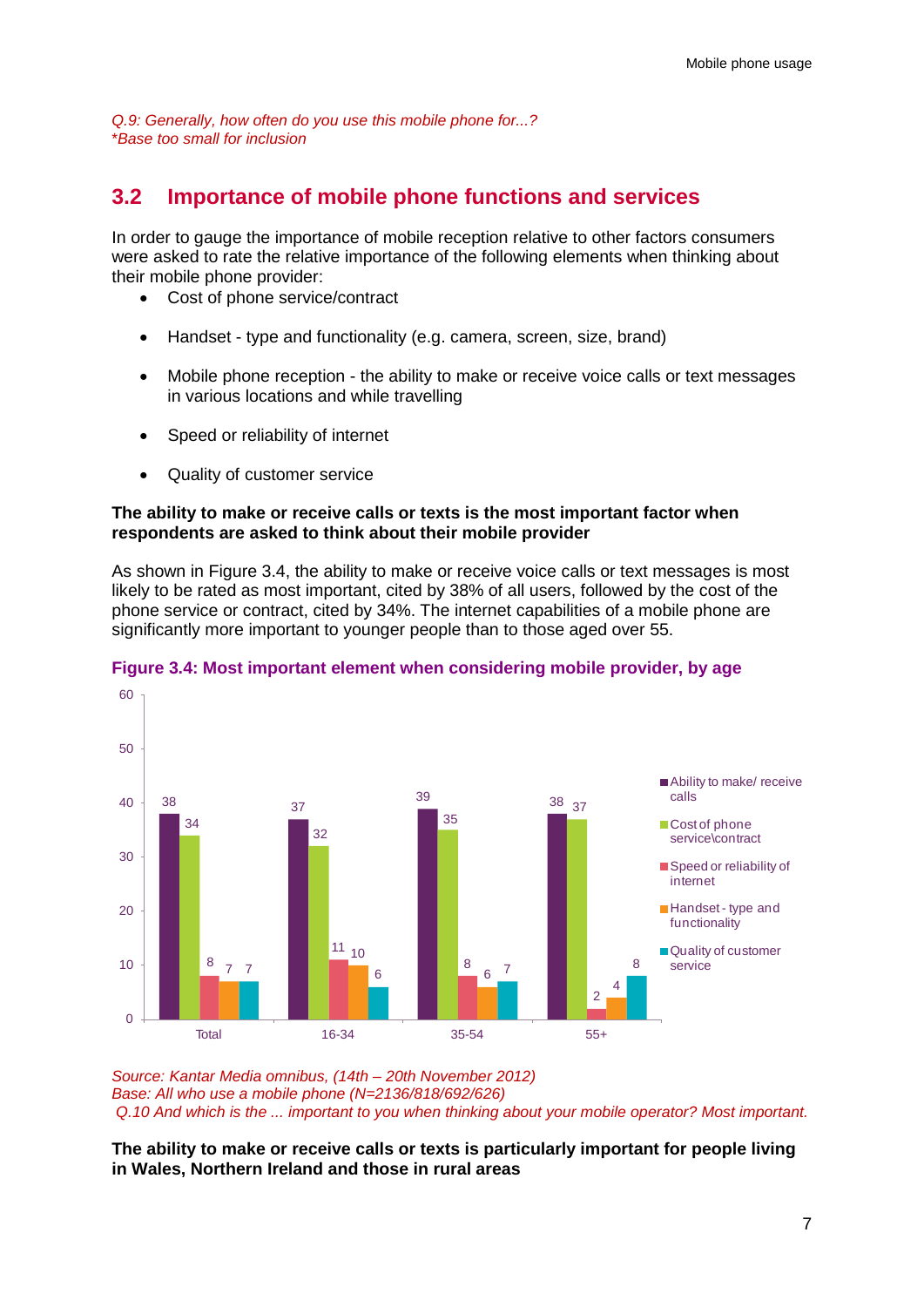*Q.9: Generally, how often do you use this mobile phone for...?* \**Base too small for inclusion*

## **3.2 Importance of mobile phone functions and services**

In order to gauge the importance of mobile reception relative to other factors consumers were asked to rate the relative importance of the following elements when thinking about their mobile phone provider:

- Cost of phone service/contract
- Handset type and functionality (e.g. camera, screen, size, brand)
- Mobile phone reception the ability to make or receive voice calls or text messages in various locations and while travelling
- Speed or reliability of internet
- Quality of customer service

### **The ability to make or receive calls or texts is the most important factor when respondents are asked to think about their mobile provider**

As shown in Figure 3.4, the ability to make or receive voice calls or text messages is most likely to be rated as most important, cited by 38% of all users, followed by the cost of the phone service or contract, cited by 34%. The internet capabilities of a mobile phone are significantly more important to younger people than to those aged over 55.



### **Figure 3.4: Most important element when considering mobile provider, by age**

*Source: Kantar Media omnibus, (14th – 20th November 2012) Base: All who use a mobile phone (N=2136/818/692/626) Q.10 And which is the ... important to you when thinking about your mobile operator? Most important.* 

**The ability to make or receive calls or texts is particularly important for people living in Wales, Northern Ireland and those in rural areas**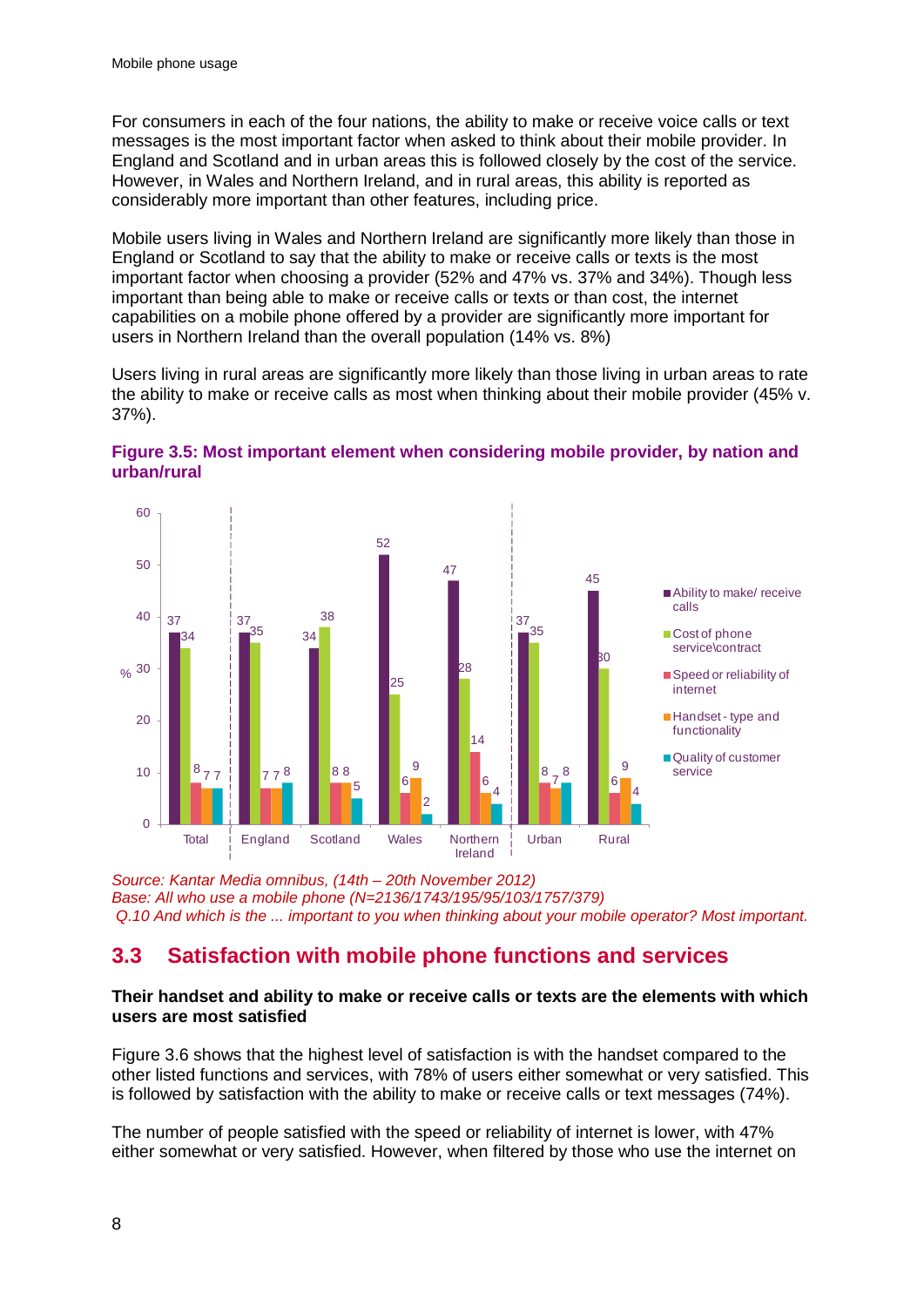For consumers in each of the four nations, the ability to make or receive voice calls or text messages is the most important factor when asked to think about their mobile provider. In England and Scotland and in urban areas this is followed closely by the cost of the service. However, in Wales and Northern Ireland, and in rural areas, this ability is reported as considerably more important than other features, including price.

Mobile users living in Wales and Northern Ireland are significantly more likely than those in England or Scotland to say that the ability to make or receive calls or texts is the most important factor when choosing a provider (52% and 47% vs. 37% and 34%). Though less important than being able to make or receive calls or texts or than cost, the internet capabilities on a mobile phone offered by a provider are significantly more important for users in Northern Ireland than the overall population (14% vs. 8%)

Users living in rural areas are significantly more likely than those living in urban areas to rate the ability to make or receive calls as most when thinking about their mobile provider (45% v. 37%).





*Source: Kantar Media omnibus, (14th – 20th November 2012) Base: All who use a mobile phone (N=2136/1743/195/95/103/1757/379) Q.10 And which is the ... important to you when thinking about your mobile operator? Most important.* 

## **3.3 Satisfaction with mobile phone functions and services**

### **Their handset and ability to make or receive calls or texts are the elements with which users are most satisfied**

Figure 3.6 shows that the highest level of satisfaction is with the handset compared to the other listed functions and services, with 78% of users either somewhat or very satisfied. This is followed by satisfaction with the ability to make or receive calls or text messages (74%).

The number of people satisfied with the speed or reliability of internet is lower, with 47% either somewhat or very satisfied. However, when filtered by those who use the internet on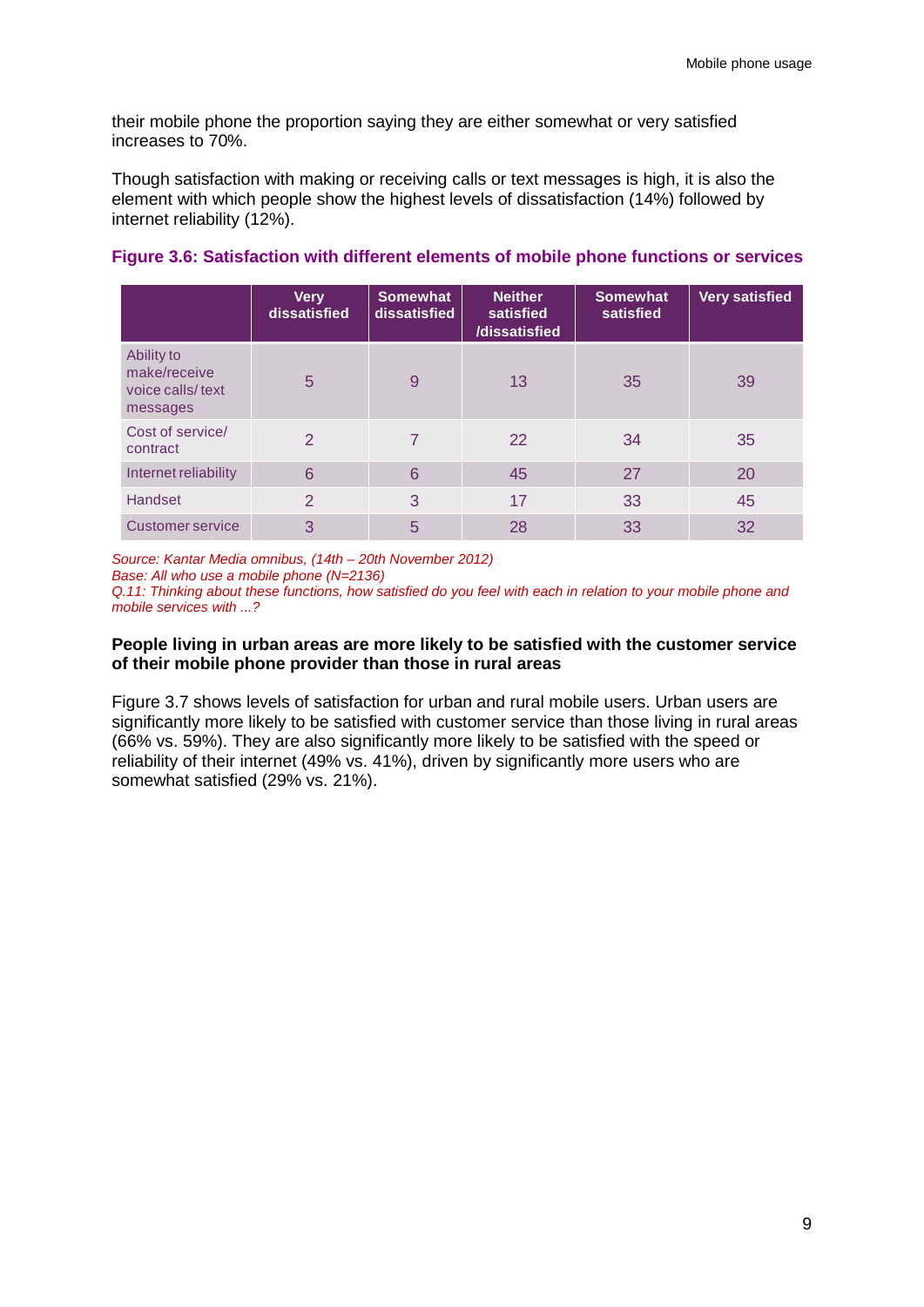their mobile phone the proportion saying they are either somewhat or very satisfied increases to 70%.

Though satisfaction with making or receiving calls or text messages is high, it is also the element with which people show the highest levels of dissatisfaction (14%) followed by internet reliability (12%).

|                                                            | <b>Very</b><br>dissatisfied | <b>Somewhat</b><br>dissatisfied | <b>Neither</b><br>satisfied<br>/dissatisfied | <b>Somewhat</b><br>satisfied | <b>Very satisfied</b> |
|------------------------------------------------------------|-----------------------------|---------------------------------|----------------------------------------------|------------------------------|-----------------------|
| Ability to<br>make/receive<br>voice calls/text<br>messages | 5                           | 9                               | 13                                           | 35                           | 39                    |
| Cost of service/<br>contract                               | $\mathcal{P}$               | 7                               | 22                                           | 34                           | 35                    |
| Internet reliability                                       | 6                           | 6                               | 45                                           | 27                           | <b>20</b>             |
| <b>Handset</b>                                             | $\overline{2}$              | 3                               | 17                                           | 33                           | 45                    |
| <b>Customer service</b>                                    | 3                           | 5                               | 28                                           | 33                           | 32                    |

### **Figure 3.6: Satisfaction with different elements of mobile phone functions or services**

*Source: Kantar Media omnibus, (14th – 20th November 2012)* 

*Base: All who use a mobile phone (N=2136)*

*Q.11: Thinking about these functions, how satisfied do you feel with each in relation to your mobile phone and mobile services with ...?*

### **People living in urban areas are more likely to be satisfied with the customer service of their mobile phone provider than those in rural areas**

Figure 3.7 shows levels of satisfaction for urban and rural mobile users. Urban users are significantly more likely to be satisfied with customer service than those living in rural areas (66% vs. 59%). They are also significantly more likely to be satisfied with the speed or reliability of their internet (49% vs. 41%), driven by significantly more users who are somewhat satisfied (29% vs. 21%).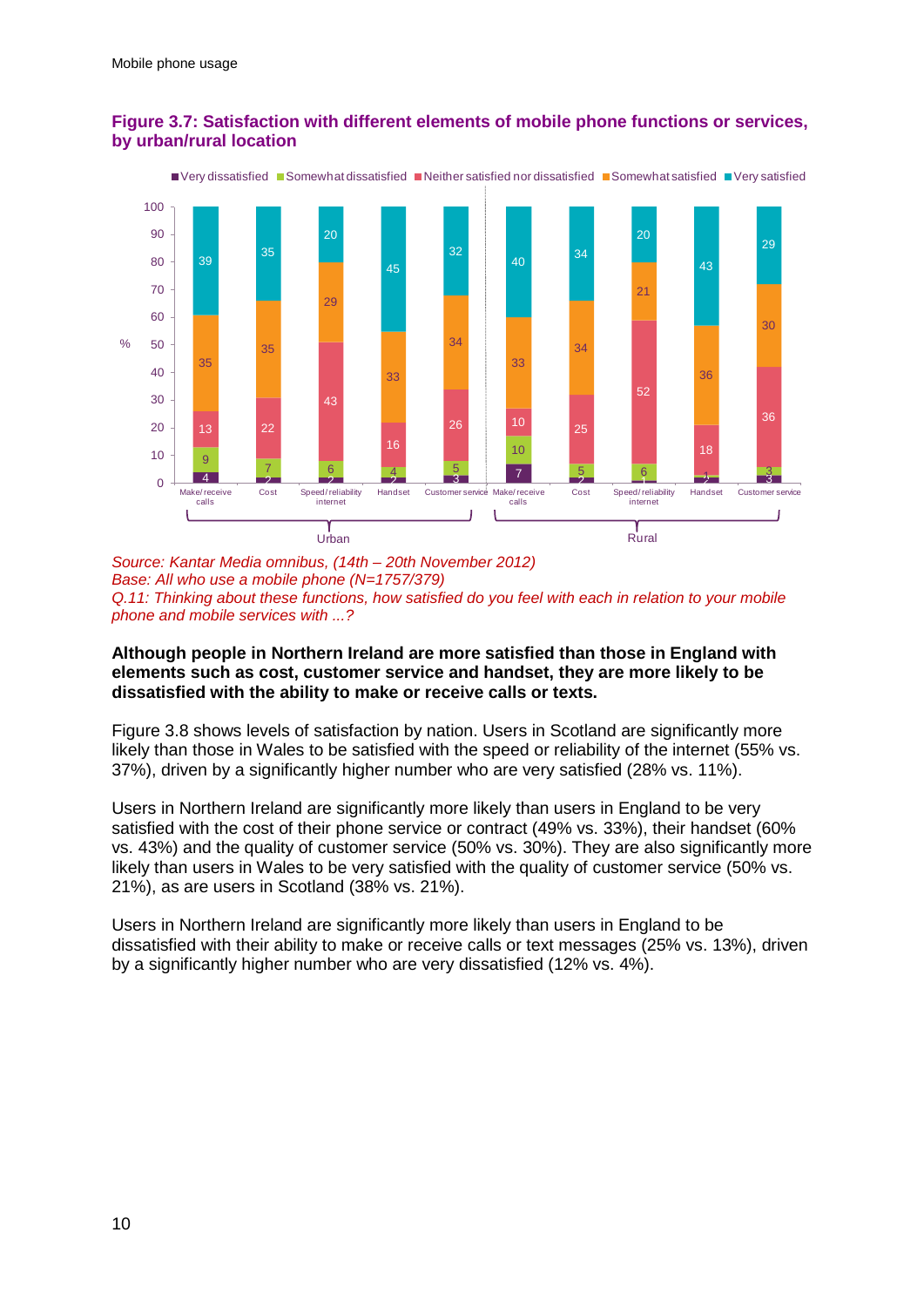

### **Figure 3.7: Satisfaction with different elements of mobile phone functions or services, by urban/rural location**

*Source: Kantar Media omnibus, (14th – 20th November 2012) Base: All who use a mobile phone (N=1757/379) Q.11: Thinking about these functions, how satisfied do you feel with each in relation to your mobile phone and mobile services with ...?*

### **Although people in Northern Ireland are more satisfied than those in England with elements such as cost, customer service and handset, they are more likely to be dissatisfied with the ability to make or receive calls or texts.**

Figure 3.8 shows levels of satisfaction by nation. Users in Scotland are significantly more likely than those in Wales to be satisfied with the speed or reliability of the internet (55% vs. 37%), driven by a significantly higher number who are very satisfied (28% vs. 11%).

Users in Northern Ireland are significantly more likely than users in England to be very satisfied with the cost of their phone service or contract (49% vs. 33%), their handset (60% vs. 43%) and the quality of customer service (50% vs. 30%). They are also significantly more likely than users in Wales to be very satisfied with the quality of customer service (50% vs. 21%), as are users in Scotland (38% vs. 21%).

Users in Northern Ireland are significantly more likely than users in England to be dissatisfied with their ability to make or receive calls or text messages (25% vs. 13%), driven by a significantly higher number who are very dissatisfied (12% vs. 4%).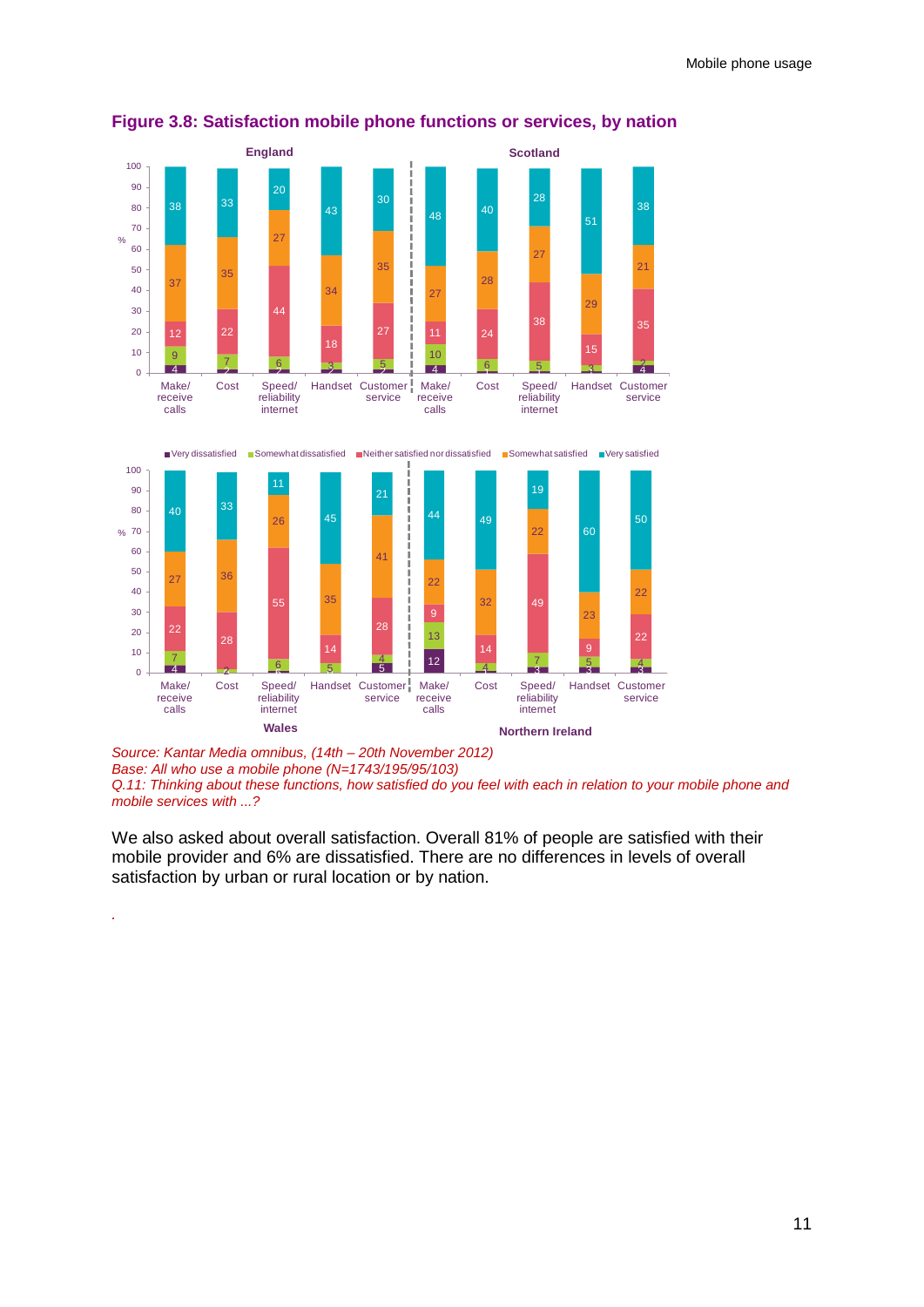![](_page_13_Figure_1.jpeg)

**Figure 3.8: Satisfaction mobile phone functions or services, by nation**

*Source: Kantar Media omnibus, (14th – 20th November 2012) Base: All who use a mobile phone (N=1743/195/95/103)*

*.*

*Q.11: Thinking about these functions, how satisfied do you feel with each in relation to your mobile phone and mobile services with ...?*

We also asked about overall satisfaction. Overall 81% of people are satisfied with their mobile provider and 6% are dissatisfied. There are no differences in levels of overall satisfaction by urban or rural location or by nation.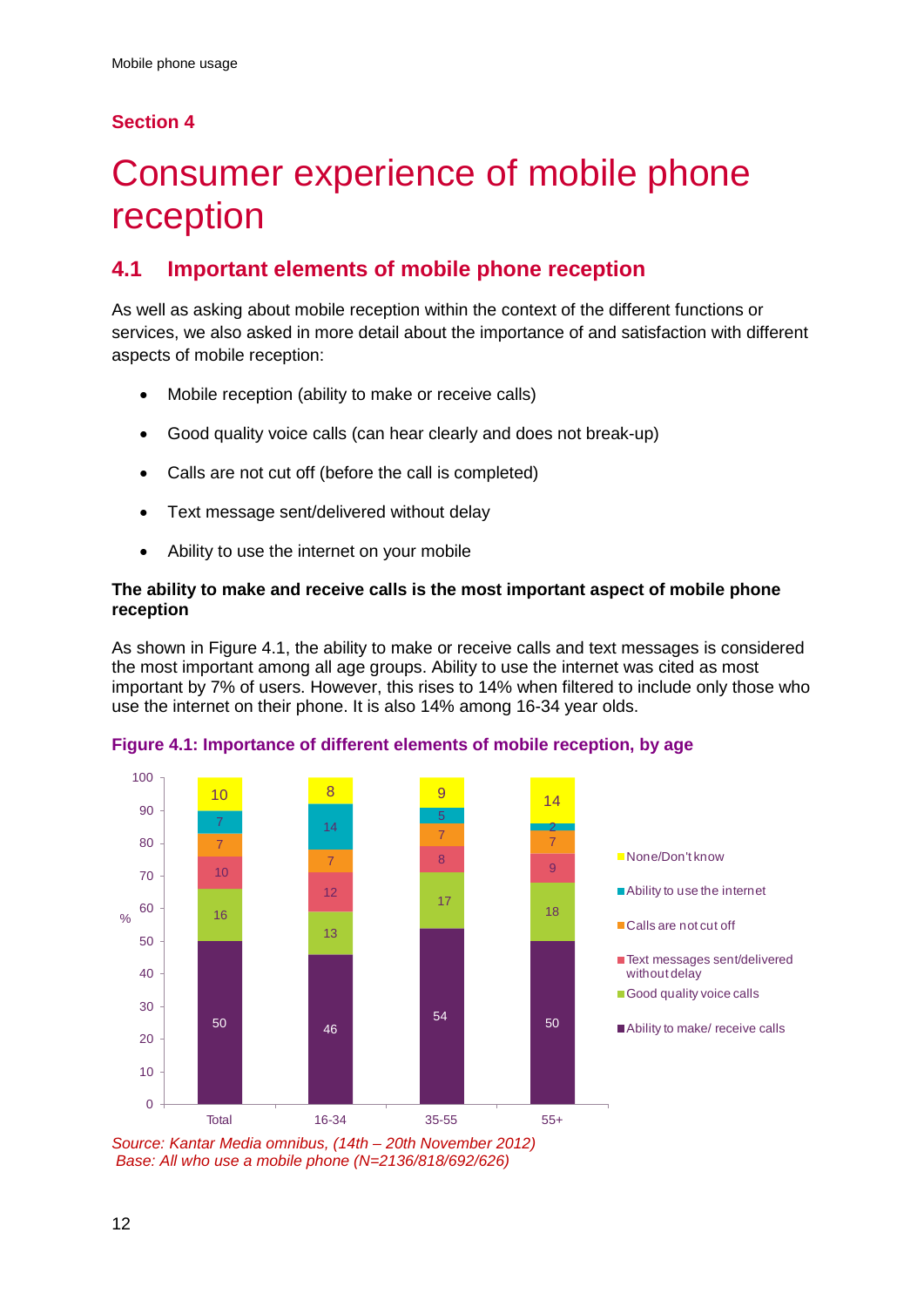## **Section 4**

# <span id="page-14-0"></span>Consumer experience of mobile phone reception

## **4.1 Important elements of mobile phone reception**

As well as asking about mobile reception within the context of the different functions or services, we also asked in more detail about the importance of and satisfaction with different aspects of mobile reception:

- Mobile reception (ability to make or receive calls)
- Good quality voice calls (can hear clearly and does not break-up)
- Calls are not cut off (before the call is completed)
- Text message sent/delivered without delay
- Ability to use the internet on your mobile

### **The ability to make and receive calls is the most important aspect of mobile phone reception**

As shown in Figure 4.1, the ability to make or receive calls and text messages is considered the most important among all age groups. Ability to use the internet was cited as most important by 7% of users. However, this rises to 14% when filtered to include only those who use the internet on their phone. It is also 14% among 16-34 year olds.

![](_page_14_Figure_12.jpeg)

**Figure 4.1: Importance of different elements of mobile reception, by age**

*Source: Kantar Media omnibus, (14th – 20th November 2012) Base: All who use a mobile phone (N=2136/818/692/626)*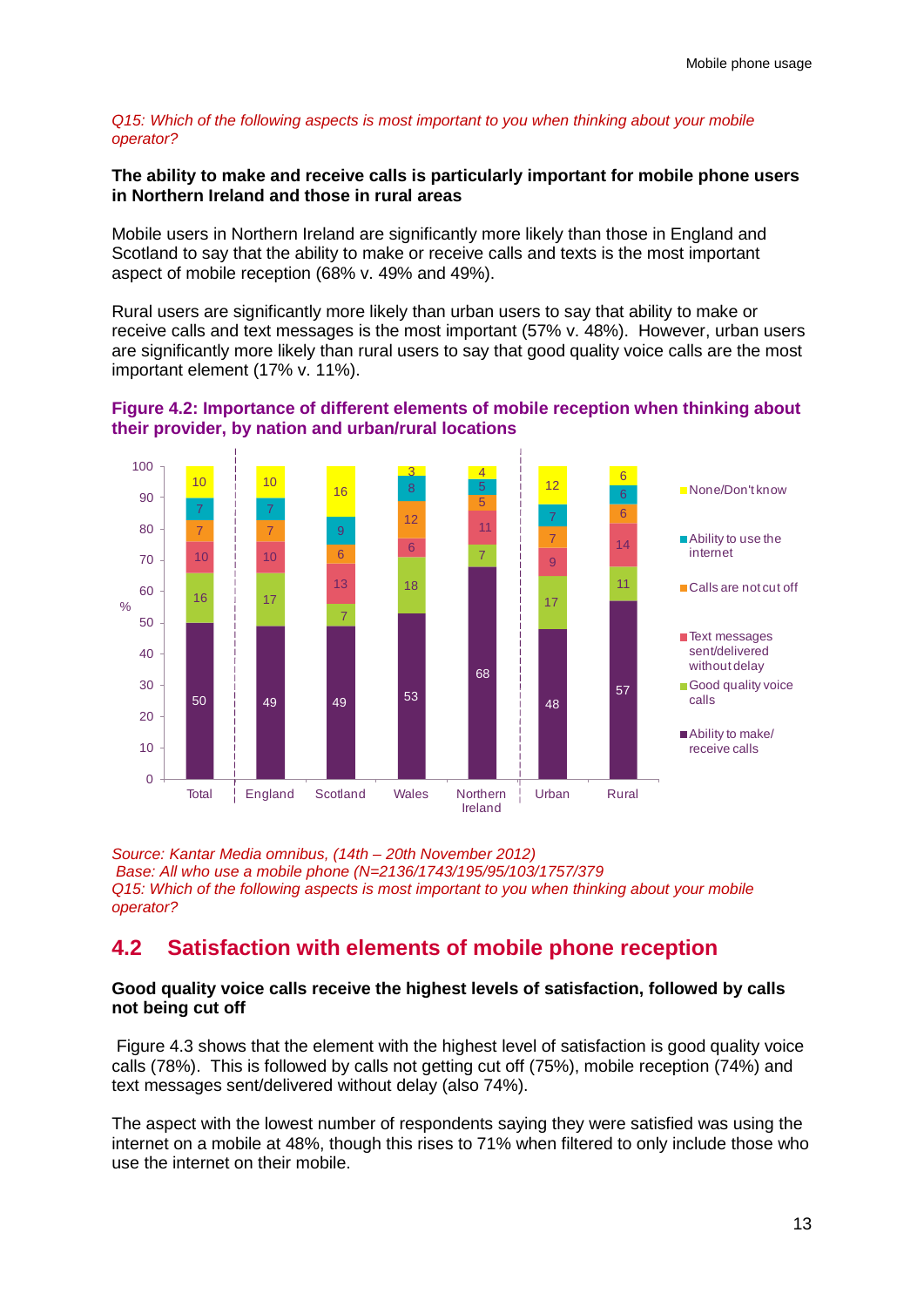#### *Q15: Which of the following aspects is most important to you when thinking about your mobile operator?*

### **The ability to make and receive calls is particularly important for mobile phone users in Northern Ireland and those in rural areas**

Mobile users in Northern Ireland are significantly more likely than those in England and Scotland to say that the ability to make or receive calls and texts is the most important aspect of mobile reception (68% v. 49% and 49%).

Rural users are significantly more likely than urban users to say that ability to make or receive calls and text messages is the most important (57% v. 48%). However, urban users are significantly more likely than rural users to say that good quality voice calls are the most important element (17% v. 11%).

![](_page_15_Figure_5.jpeg)

![](_page_15_Figure_6.jpeg)

*Source: Kantar Media omnibus, (14th – 20th November 2012) Base: All who use a mobile phone (N=2136/1743/195/95/103/1757/379 Q15: Which of the following aspects is most important to you when thinking about your mobile operator?* 

## **4.2 Satisfaction with elements of mobile phone reception**

### **Good quality voice calls receive the highest levels of satisfaction, followed by calls not being cut off**

Figure 4.3 shows that the element with the highest level of satisfaction is good quality voice calls (78%). This is followed by calls not getting cut off (75%), mobile reception (74%) and text messages sent/delivered without delay (also 74%).

The aspect with the lowest number of respondents saying they were satisfied was using the internet on a mobile at 48%, though this rises to 71% when filtered to only include those who use the internet on their mobile.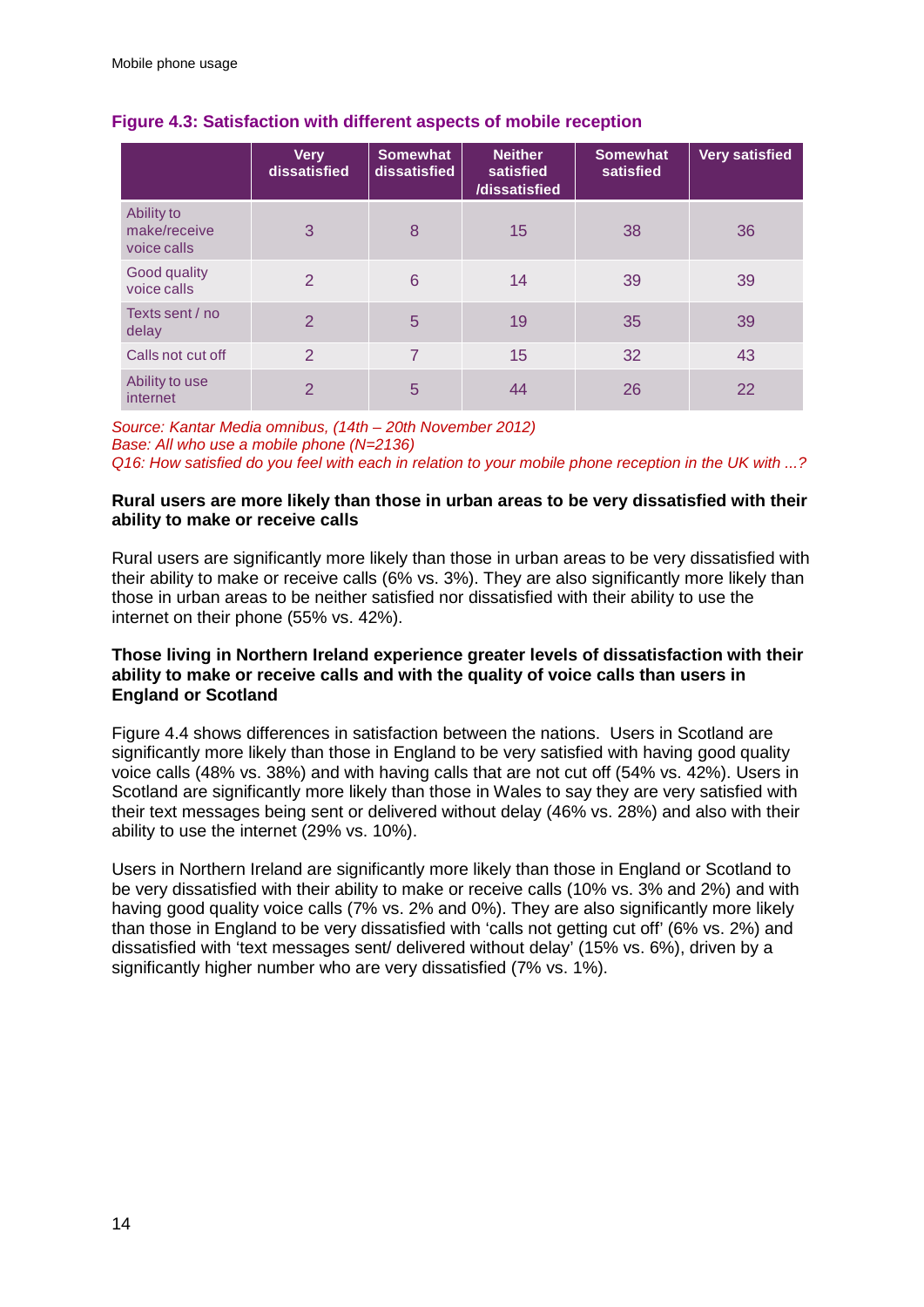|                                           | <b>Very</b><br>dissatisfied | <b>Somewhat</b><br>dissatisfied | <b>Neither</b><br>satisfied<br>/dissatisfied | <b>Somewhat</b><br>satisfied | <b>Very satisfied</b> |
|-------------------------------------------|-----------------------------|---------------------------------|----------------------------------------------|------------------------------|-----------------------|
| Ability to<br>make/receive<br>voice calls | 3                           | 8                               | 15                                           | 38                           | 36                    |
| Good quality<br>voice calls               | $\overline{2}$              | 6                               | 14                                           | 39                           | 39                    |
| Texts sent / no<br>delay                  | 2                           | 5                               | 19                                           | 35                           | 39                    |
| Calls not cut off                         | $\mathcal{P}$               | 7                               | 15                                           | 32                           | 43                    |
| Ability to use<br>internet                | $\mathcal{P}$               | 5                               | 44                                           | 26                           | 22                    |

### **Figure 4.3: Satisfaction with different aspects of mobile reception**

*Source: Kantar Media omnibus, (14th – 20th November 2012) Base: All who use a mobile phone (N=2136) Q16: How satisfied do you feel with each in relation to your mobile phone reception in the UK with ...?*

### **Rural users are more likely than those in urban areas to be very dissatisfied with their ability to make or receive calls**

Rural users are significantly more likely than those in urban areas to be very dissatisfied with their ability to make or receive calls (6% vs. 3%). They are also significantly more likely than those in urban areas to be neither satisfied nor dissatisfied with their ability to use the internet on their phone (55% vs. 42%).

### **Those living in Northern Ireland experience greater levels of dissatisfaction with their ability to make or receive calls and with the quality of voice calls than users in England or Scotland**

Figure 4.4 shows differences in satisfaction between the nations. Users in Scotland are significantly more likely than those in England to be very satisfied with having good quality voice calls (48% vs. 38%) and with having calls that are not cut off (54% vs. 42%). Users in Scotland are significantly more likely than those in Wales to say they are very satisfied with their text messages being sent or delivered without delay (46% vs. 28%) and also with their ability to use the internet (29% vs. 10%).

Users in Northern Ireland are significantly more likely than those in England or Scotland to be very dissatisfied with their ability to make or receive calls (10% vs. 3% and 2%) and with having good quality voice calls (7% vs. 2% and 0%). They are also significantly more likely than those in England to be very dissatisfied with 'calls not getting cut off' (6% vs. 2%) and dissatisfied with 'text messages sent/ delivered without delay' (15% vs. 6%), driven by a significantly higher number who are very dissatisfied (7% vs. 1%).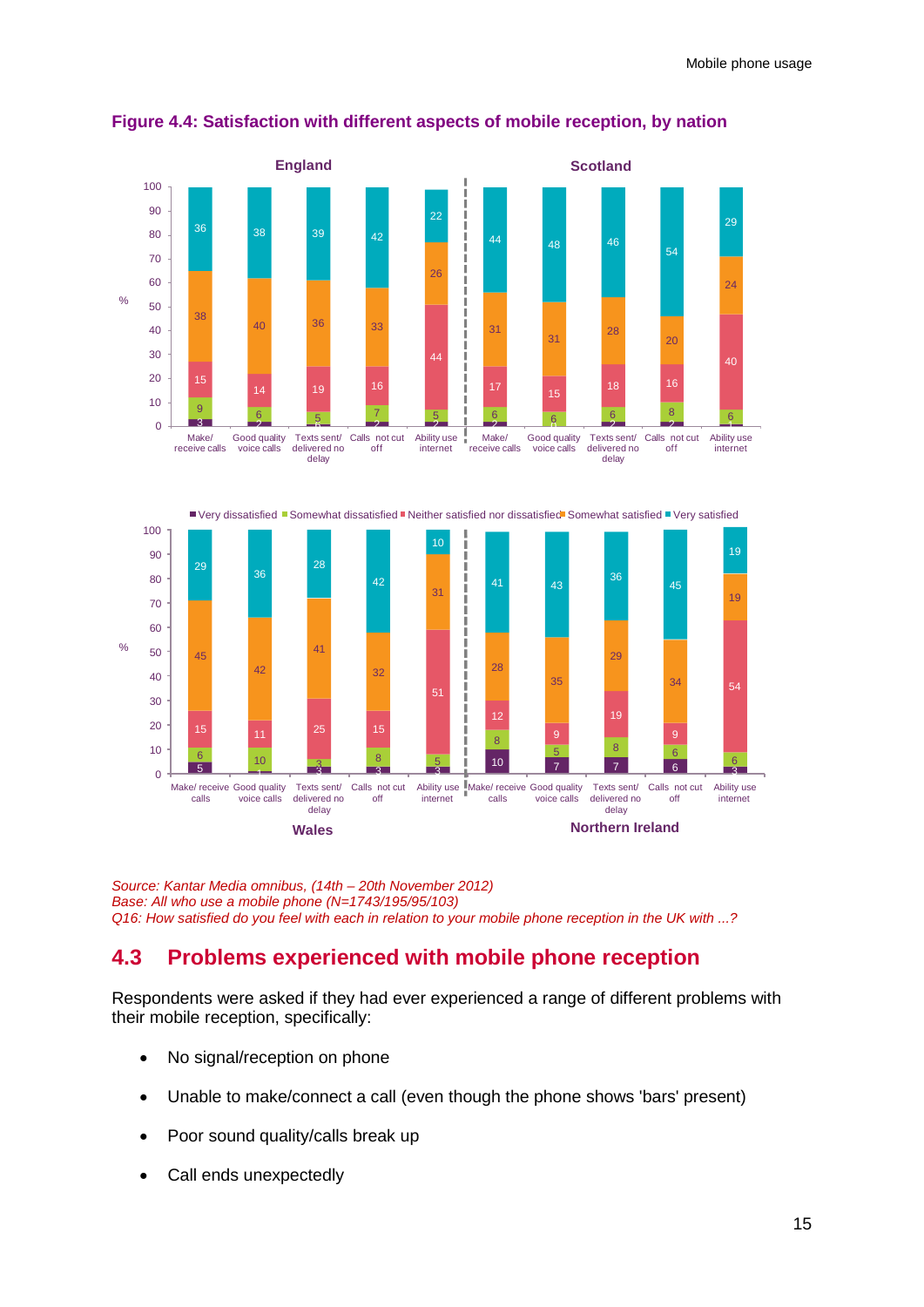![](_page_17_Figure_1.jpeg)

### **Figure 4.4: Satisfaction with different aspects of mobile reception, by nation**

![](_page_17_Figure_3.jpeg)

![](_page_17_Figure_4.jpeg)

*Source: Kantar Media omnibus, (14th – 20th November 2012) Base: All who use a mobile phone (N=1743/195/95/103) Q16: How satisfied do you feel with each in relation to your mobile phone reception in the UK with ...?*

## **4.3 Problems experienced with mobile phone reception**

Respondents were asked if they had ever experienced a range of different problems with their mobile reception, specifically:

- No signal/reception on phone
- Unable to make/connect a call (even though the phone shows 'bars' present)
- Poor sound quality/calls break up
- Call ends unexpectedly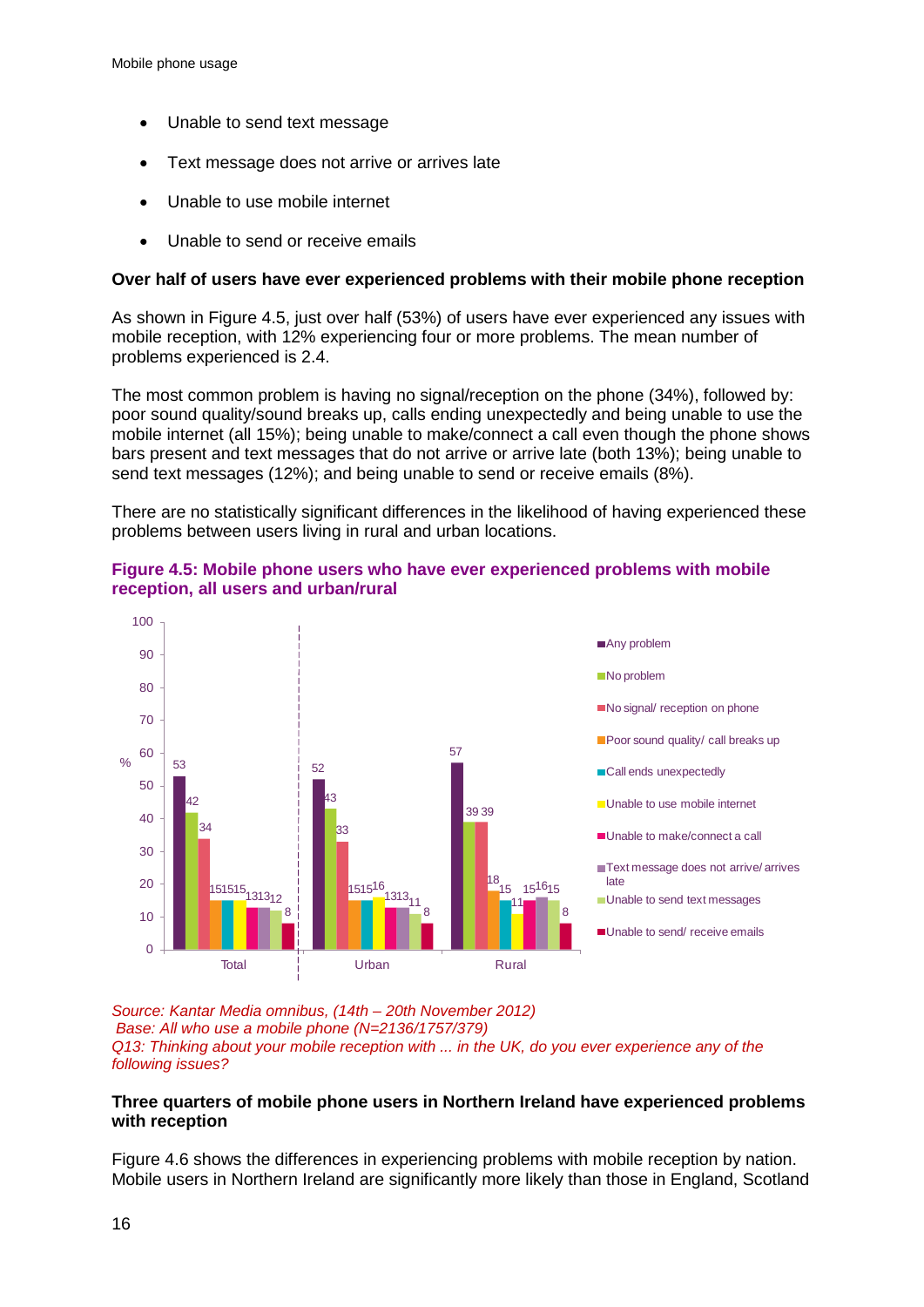- Unable to send text message
- Text message does not arrive or arrives late
- Unable to use mobile internet
- Unable to send or receive emails

### **Over half of users have ever experienced problems with their mobile phone reception**

As shown in Figure 4.5, just over half (53%) of users have ever experienced any issues with mobile reception, with 12% experiencing four or more problems. The mean number of problems experienced is 2.4.

The most common problem is having no signal/reception on the phone (34%), followed by: poor sound quality/sound breaks up, calls ending unexpectedly and being unable to use the mobile internet (all 15%); being unable to make/connect a call even though the phone shows bars present and text messages that do not arrive or arrive late (both 13%); being unable to send text messages (12%); and being unable to send or receive emails (8%).

There are no statistically significant differences in the likelihood of having experienced these problems between users living in rural and urban locations.

![](_page_18_Figure_9.jpeg)

![](_page_18_Figure_10.jpeg)

*Source: Kantar Media omnibus, (14th – 20th November 2012) Base: All who use a mobile phone (N=2136/1757/379) Q13: Thinking about your mobile reception with ... in the UK, do you ever experience any of the following issues?*

### **Three quarters of mobile phone users in Northern Ireland have experienced problems with reception**

Figure 4.6 shows the differences in experiencing problems with mobile reception by nation. Mobile users in Northern Ireland are significantly more likely than those in England, Scotland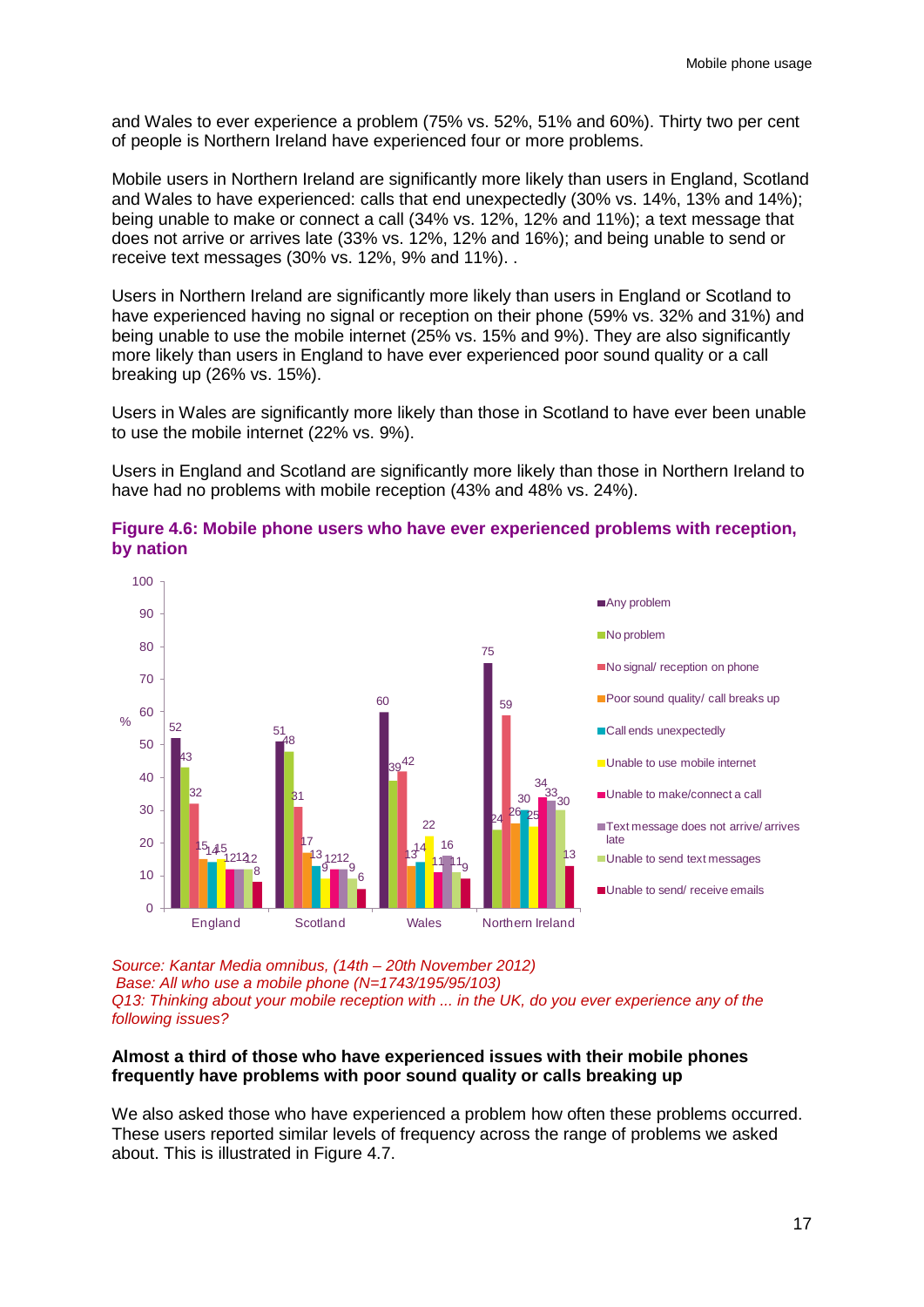and Wales to ever experience a problem (75% vs. 52%, 51% and 60%). Thirty two per cent of people is Northern Ireland have experienced four or more problems.

Mobile users in Northern Ireland are significantly more likely than users in England, Scotland and Wales to have experienced: calls that end unexpectedly (30% vs. 14%, 13% and 14%); being unable to make or connect a call (34% vs. 12%, 12% and 11%); a text message that does not arrive or arrives late (33% vs. 12%, 12% and 16%); and being unable to send or receive text messages (30% vs. 12%, 9% and 11%). .

Users in Northern Ireland are significantly more likely than users in England or Scotland to have experienced having no signal or reception on their phone (59% vs. 32% and 31%) and being unable to use the mobile internet (25% vs. 15% and 9%). They are also significantly more likely than users in England to have ever experienced poor sound quality or a call breaking up (26% vs. 15%).

Users in Wales are significantly more likely than those in Scotland to have ever been unable to use the mobile internet (22% vs. 9%).

Users in England and Scotland are significantly more likely than those in Northern Ireland to have had no problems with mobile reception (43% and 48% vs. 24%).

![](_page_19_Figure_6.jpeg)

**Figure 4.6: Mobile phone users who have ever experienced problems with reception, by nation**

*Source: Kantar Media omnibus, (14th – 20th November 2012) Base: All who use a mobile phone (N=1743/195/95/103) Q13: Thinking about your mobile reception with ... in the UK, do you ever experience any of the following issues?*

### **Almost a third of those who have experienced issues with their mobile phones frequently have problems with poor sound quality or calls breaking up**

We also asked those who have experienced a problem how often these problems occurred. These users reported similar levels of frequency across the range of problems we asked about. This is illustrated in Figure 4.7.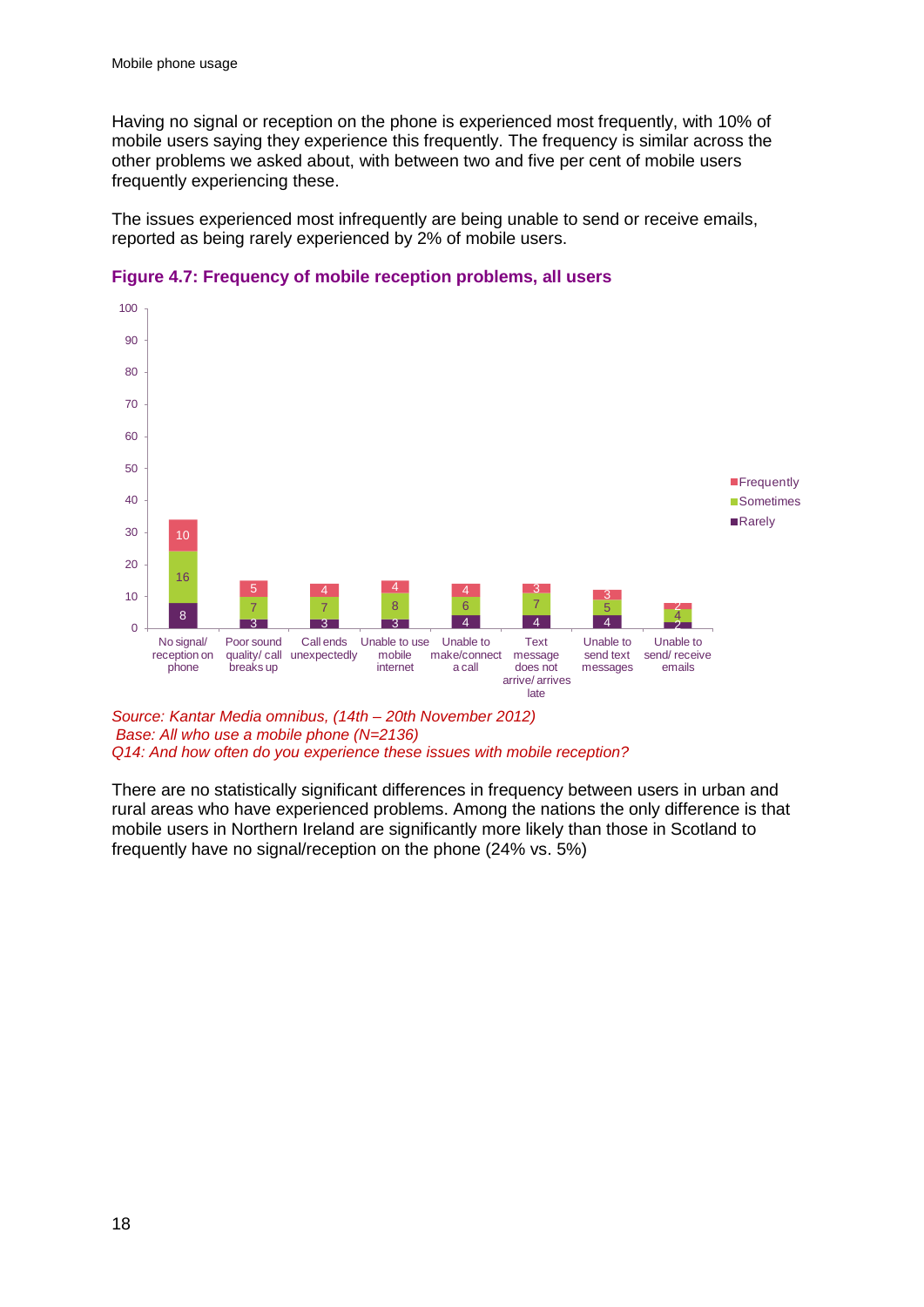Having no signal or reception on the phone is experienced most frequently, with 10% of mobile users saying they experience this frequently. The frequency is similar across the other problems we asked about, with between two and five per cent of mobile users frequently experiencing these.

The issues experienced most infrequently are being unable to send or receive emails, reported as being rarely experienced by 2% of mobile users.

![](_page_20_Figure_3.jpeg)

#### **Figure 4.7: Frequency of mobile reception problems, all users**

*Source: Kantar Media omnibus, (14th – 20th November 2012) Base: All who use a mobile phone (N=2136) Q14: And how often do you experience these issues with mobile reception?*

There are no statistically significant differences in frequency between users in urban and rural areas who have experienced problems. Among the nations the only difference is that mobile users in Northern Ireland are significantly more likely than those in Scotland to frequently have no signal/reception on the phone (24% vs. 5%)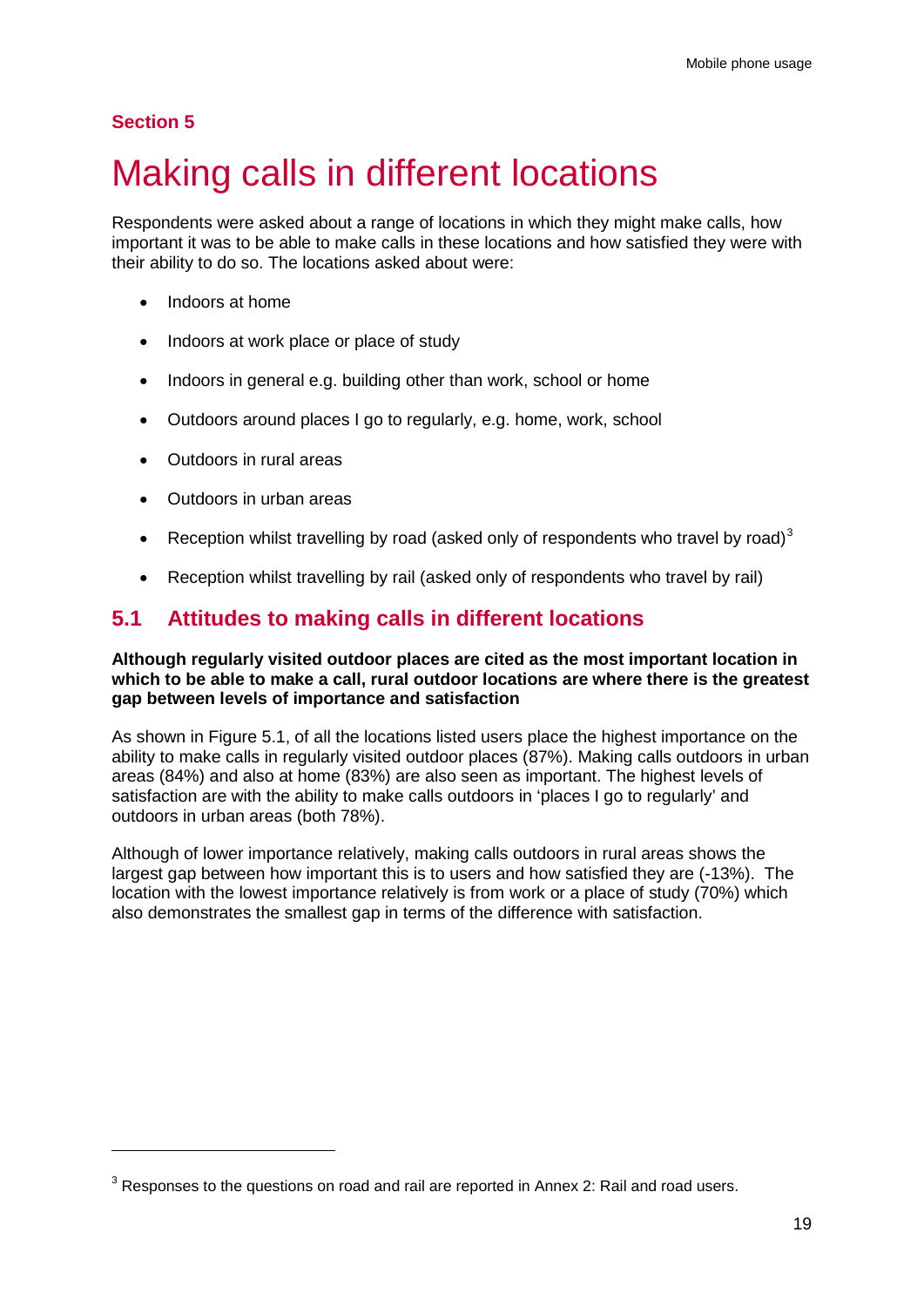### **Section 5**

-

# <span id="page-21-0"></span>Making calls in different locations

Respondents were asked about a range of locations in which they might make calls, how important it was to be able to make calls in these locations and how satisfied they were with their ability to do so. The locations asked about were:

- Indoors at home
- Indoors at work place or place of study
- Indoors in general e.g. building other than work, school or home
- Outdoors around places I go to regularly, e.g. home, work, school
- Outdoors in rural areas
- Outdoors in urban areas
- Reception whilst travelling by road (asked only of respondents who travel by road)<sup>[3](#page-21-1)</sup>
- Reception whilst travelling by rail (asked only of respondents who travel by rail)

## **5.1 Attitudes to making calls in different locations**

### **Although regularly visited outdoor places are cited as the most important location in which to be able to make a call, rural outdoor locations are where there is the greatest gap between levels of importance and satisfaction**

As shown in Figure 5.1, of all the locations listed users place the highest importance on the ability to make calls in regularly visited outdoor places (87%). Making calls outdoors in urban areas (84%) and also at home (83%) are also seen as important. The highest levels of satisfaction are with the ability to make calls outdoors in 'places I go to regularly' and outdoors in urban areas (both 78%).

Although of lower importance relatively, making calls outdoors in rural areas shows the largest gap between how important this is to users and how satisfied they are (-13%). The location with the lowest importance relatively is from work or a place of study (70%) which also demonstrates the smallest gap in terms of the difference with satisfaction.

<span id="page-21-1"></span> $3$  Responses to the questions on road and rail are reported in Annex 2: Rail and road users.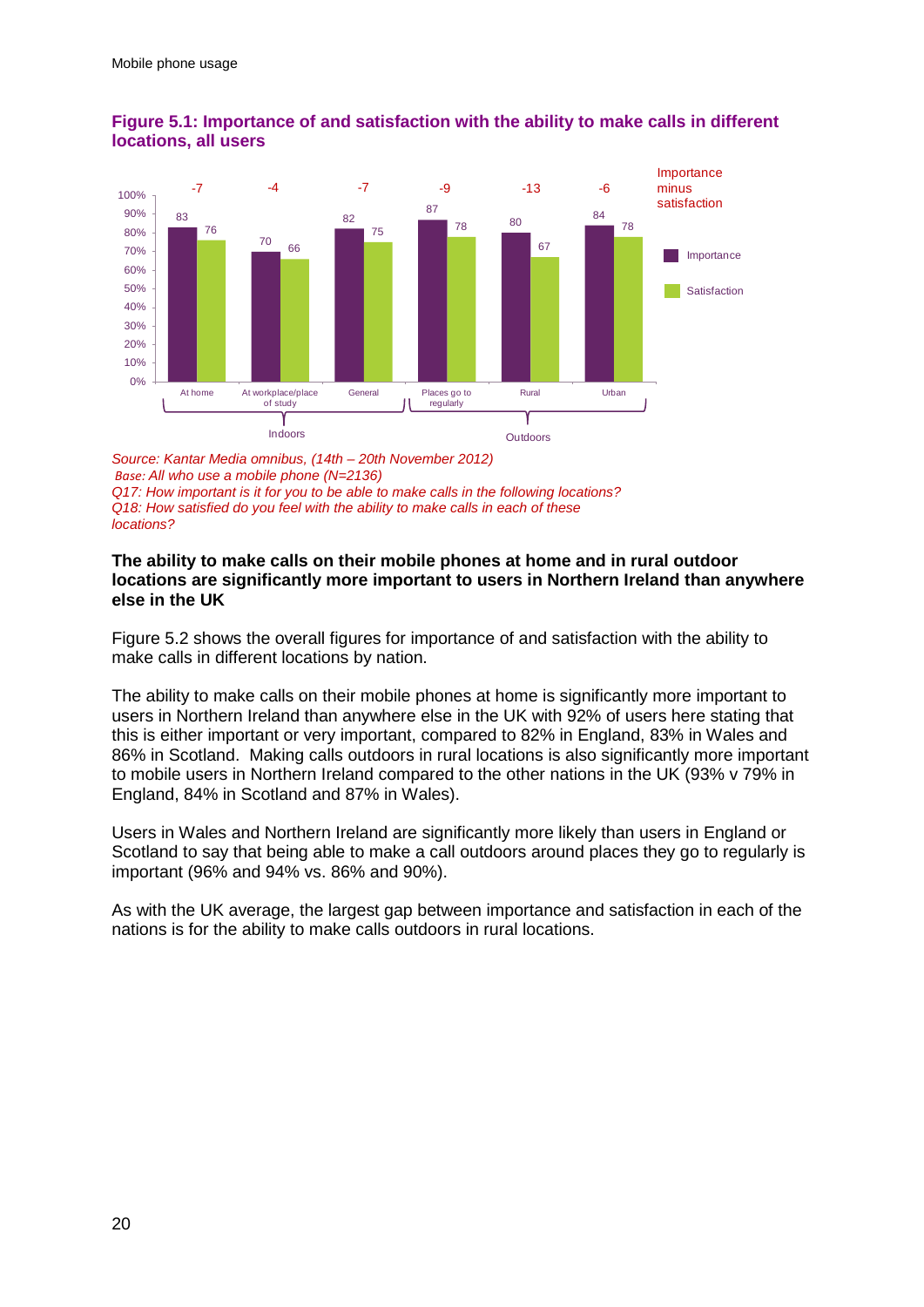![](_page_22_Figure_1.jpeg)

### **Figure 5.1: Importance of and satisfaction with the ability to make calls in different locations, all users**

*Source: Kantar Media omnibus, (14th – 20th November 2012) Base: All who use a mobile phone (N=2136) Q17: How important is it for you to be able to make calls in the following locations? Q18: How satisfied do you feel with the ability to make calls in each of these locations?*

### **The ability to make calls on their mobile phones at home and in rural outdoor locations are significantly more important to users in Northern Ireland than anywhere else in the UK**

Figure 5.2 shows the overall figures for importance of and satisfaction with the ability to make calls in different locations by nation.

The ability to make calls on their mobile phones at home is significantly more important to users in Northern Ireland than anywhere else in the UK with 92% of users here stating that this is either important or very important, compared to 82% in England, 83% in Wales and 86% in Scotland. Making calls outdoors in rural locations is also significantly more important to mobile users in Northern Ireland compared to the other nations in the UK (93% v 79% in England, 84% in Scotland and 87% in Wales).

Users in Wales and Northern Ireland are significantly more likely than users in England or Scotland to say that being able to make a call outdoors around places they go to regularly is important (96% and 94% vs. 86% and 90%).

As with the UK average, the largest gap between importance and satisfaction in each of the nations is for the ability to make calls outdoors in rural locations.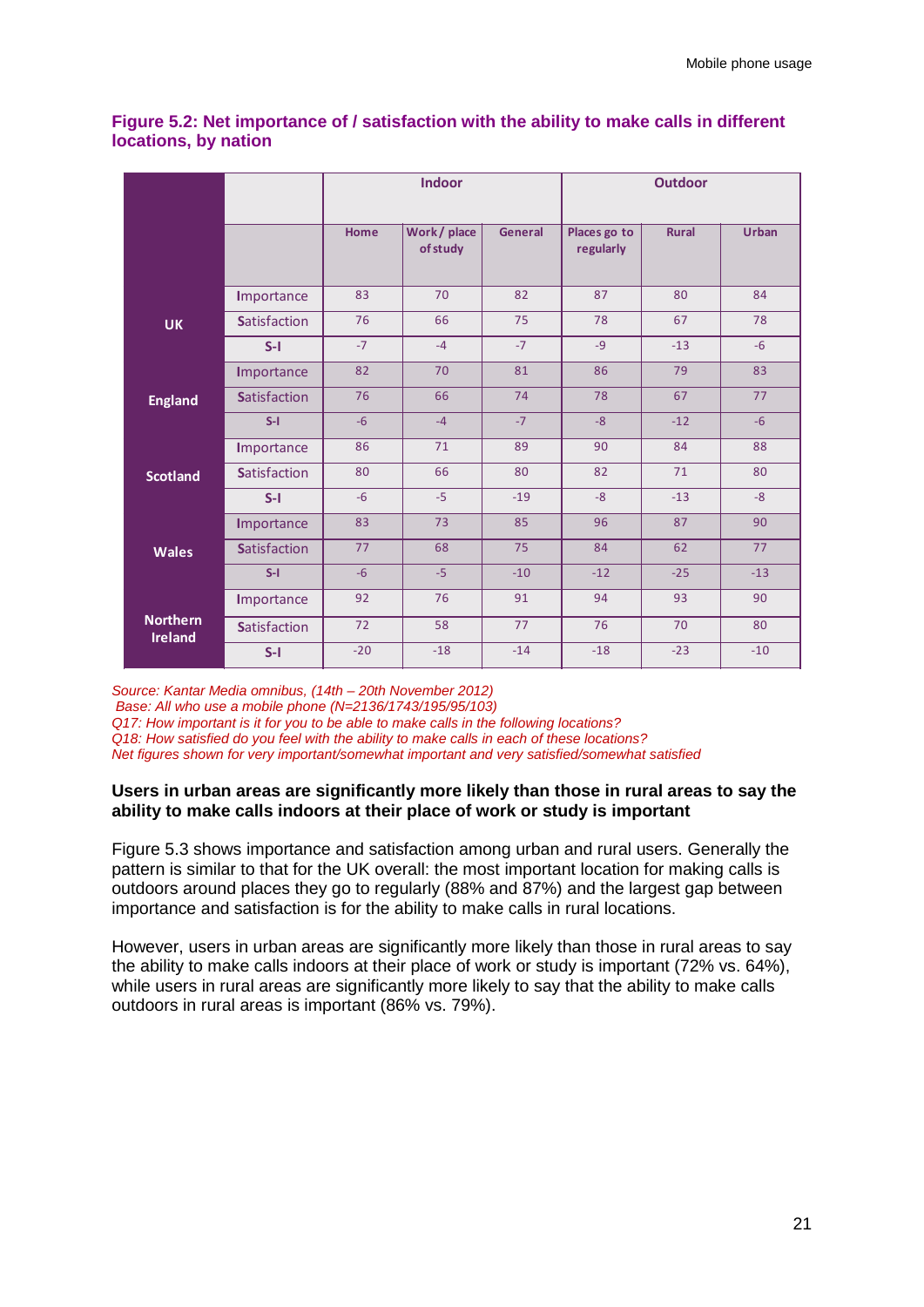|                                   |                     | <b>Indoor</b> |                        | <b>Outdoor</b> |                           |              |              |
|-----------------------------------|---------------------|---------------|------------------------|----------------|---------------------------|--------------|--------------|
|                                   |                     | Home          | Work/place<br>of study | <b>General</b> | Places go to<br>regularly | <b>Rural</b> | <b>Urban</b> |
|                                   | Importance          | 83            | 70                     | 82             | 87                        | 80           | 84           |
| <b>UK</b>                         | <b>Satisfaction</b> | 76            | 66                     | 75             | 78                        | 67           | 78           |
|                                   | $S-I$               | $-7$          | $-4$                   | $-7$           | $-9$                      | $-13$        | $-6$         |
|                                   | Importance          | 82            | 70                     | 81             | 86                        | 79           | 83           |
| <b>England</b>                    | <b>Satisfaction</b> | 76            | 66                     | 74             | 78                        | 67           | 77           |
|                                   | $S-I$               | $-6$          | $-4$                   | $-7$           | $-8$                      | $-12$        | $-6$         |
|                                   | Importance          | 86            | 71                     | 89             | 90                        | 84           | 88           |
| <b>Scotland</b>                   | <b>Satisfaction</b> | 80            | 66                     | 80             | 82                        | 71           | 80           |
|                                   | $S-I$               | $-6$          | $-5$                   | $-19$          | $-8$                      | $-13$        | $-8$         |
|                                   | Importance          | 83            | 73                     | 85             | 96                        | 87           | 90           |
| <b>Wales</b>                      | <b>Satisfaction</b> | 77            | 68                     | 75             | 84                        | 62           | 77           |
|                                   | $S-I$               | $-6$          | $-5$                   | $-10$          | $-12$                     | $-25$        | $-13$        |
|                                   | Importance          | 92            | 76                     | 91             | 94                        | 93           | 90           |
| <b>Northern</b><br><b>Ireland</b> | <b>Satisfaction</b> | 72            | 58                     | 77             | 76                        | 70           | 80           |
|                                   | $S-I$               | $-20$         | $-18$                  | $-14$          | $-18$                     | $-23$        | $-10$        |

### **Figure 5.2: Net importance of / satisfaction with the ability to make calls in different locations, by nation**

*Source: Kantar Media omnibus, (14th – 20th November 2012)*

*Base: All who use a mobile phone (N=2136/1743/195/95/103)* 

*Q17: How important is it for you to be able to make calls in the following locations?*

*Q18: How satisfied do you feel with the ability to make calls in each of these locations?*

*Net figures shown for very important/somewhat important and very satisfied/somewhat satisfied*

### **Users in urban areas are significantly more likely than those in rural areas to say the ability to make calls indoors at their place of work or study is important**

Figure 5.3 shows importance and satisfaction among urban and rural users. Generally the pattern is similar to that for the UK overall: the most important location for making calls is outdoors around places they go to regularly (88% and 87%) and the largest gap between importance and satisfaction is for the ability to make calls in rural locations.

However, users in urban areas are significantly more likely than those in rural areas to say the ability to make calls indoors at their place of work or study is important (72% vs. 64%), while users in rural areas are significantly more likely to say that the ability to make calls outdoors in rural areas is important (86% vs. 79%).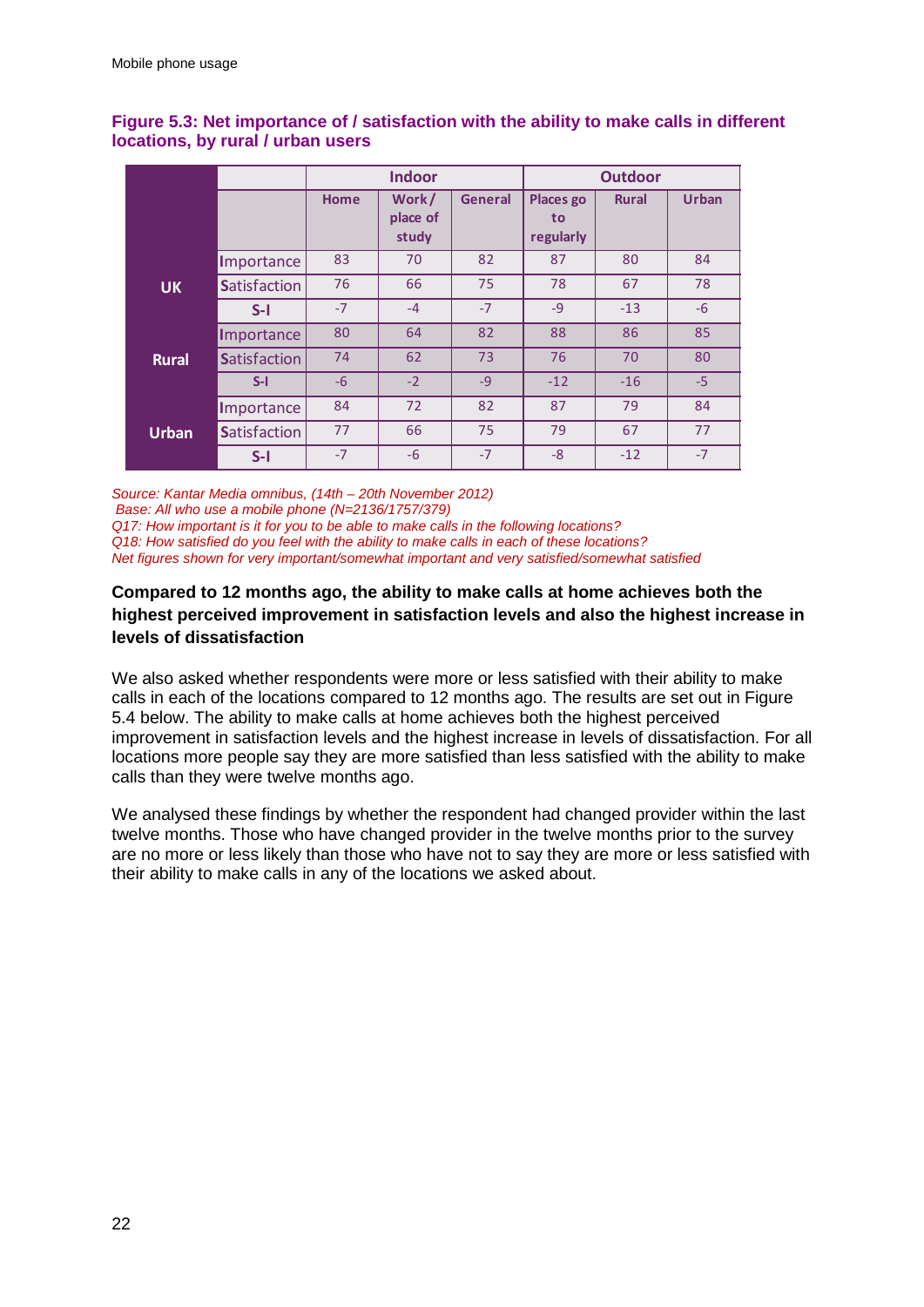|              |                     | <b>Indoor</b> |                            | <b>Outdoor</b> |                                     |              |              |
|--------------|---------------------|---------------|----------------------------|----------------|-------------------------------------|--------------|--------------|
|              |                     | Home          | Work/<br>place of<br>study | <b>General</b> | <b>Places go</b><br>to<br>regularly | <b>Rural</b> | <b>Urban</b> |
|              | Importance          | 83            | 70                         | 82             | 87                                  | 80           | 84           |
| <b>UK</b>    | <b>Satisfaction</b> | 76            | 66                         | 75             | 78                                  | 67           | 78           |
|              | $S-I$               | $-7$          | $-4$                       | $-7$           | $-9$                                | $-13$        | $-6$         |
|              | Importance          | 80            | 64                         | 82             | 88                                  | 86           | 85           |
| <b>Rural</b> | <b>Satisfaction</b> | 74            | 62                         | 73             | 76                                  | 70           | 80           |
|              | $S-I$               | $-6$          | $-2$                       | $-9$           | $-12$                               | $-16$        | $-5$         |
|              | Importance          | 84            | 72                         | 82             | 87                                  | 79           | 84           |
| <b>Urban</b> | <b>Satisfaction</b> | 77            | 66                         | 75             | 79                                  | 67           | 77           |
|              | $S-I$               | $-7$          | $-6$                       | $-7$           | $-8$                                | $-12$        | $-7$         |

### **Figure 5.3: Net importance of / satisfaction with the ability to make calls in different locations, by rural / urban users**

*Source: Kantar Media omnibus, (14th – 20th November 2012) Base: All who use a mobile phone (N=2136/1757/379) Q17: How important is it for you to be able to make calls in the following locations? Q18: How satisfied do you feel with the ability to make calls in each of these locations? Net figures shown for very important/somewhat important and very satisfied/somewhat satisfied*

### **Compared to 12 months ago, the ability to make calls at home achieves both the highest perceived improvement in satisfaction levels and also the highest increase in levels of dissatisfaction**

We also asked whether respondents were more or less satisfied with their ability to make calls in each of the locations compared to 12 months ago. The results are set out in Figure 5.4 below. The ability to make calls at home achieves both the highest perceived improvement in satisfaction levels and the highest increase in levels of dissatisfaction. For all locations more people say they are more satisfied than less satisfied with the ability to make calls than they were twelve months ago.

We analysed these findings by whether the respondent had changed provider within the last twelve months. Those who have changed provider in the twelve months prior to the survey are no more or less likely than those who have not to say they are more or less satisfied with their ability to make calls in any of the locations we asked about.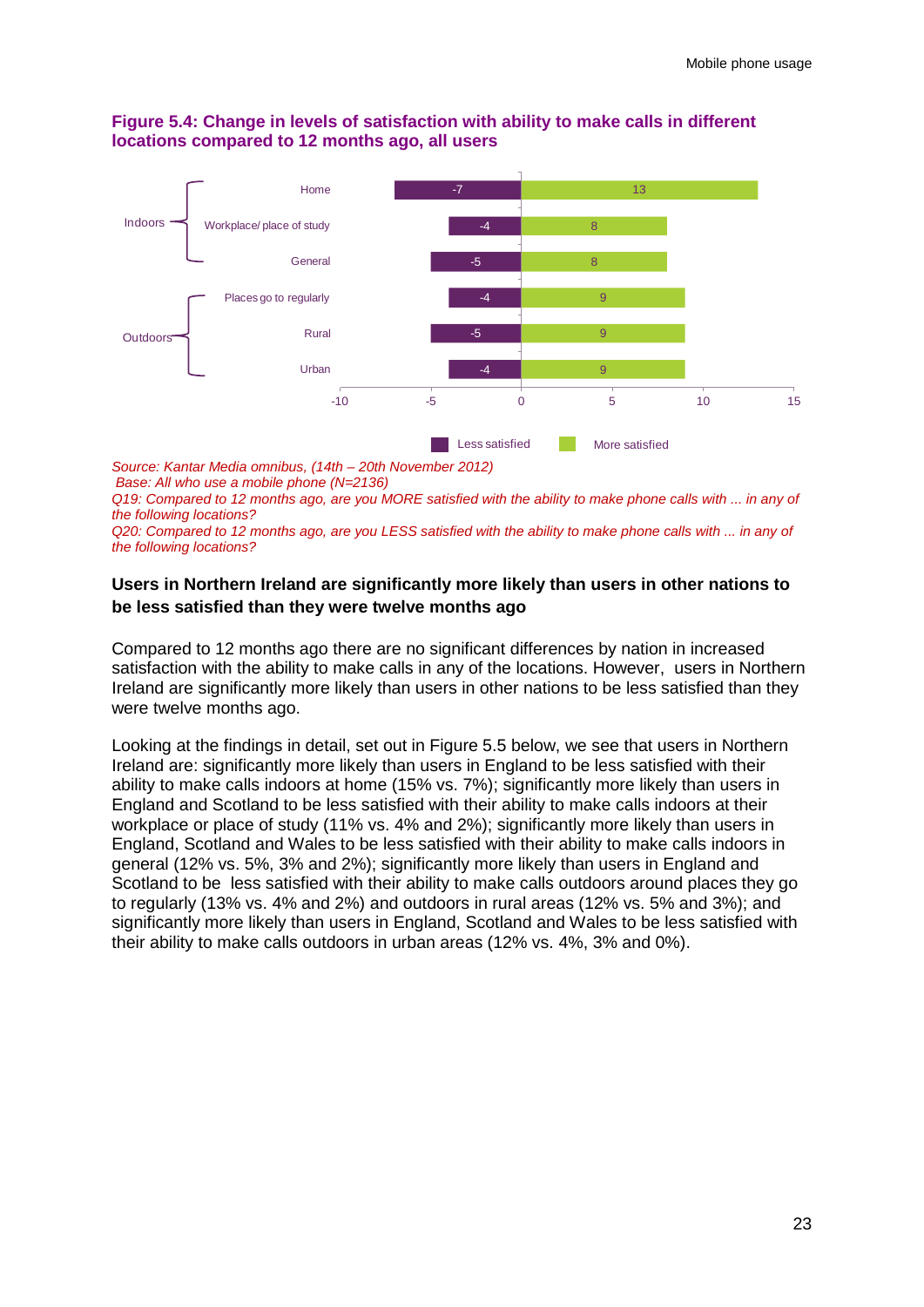### **Figure 5.4: Change in levels of satisfaction with ability to make calls in different locations compared to 12 months ago, all users**

![](_page_25_Figure_2.jpeg)

*Source: Kantar Media omnibus, (14th – 20th November 2012)*

*Base: All who use a mobile phone (N=2136)* 

*Q19: Compared to 12 months ago, are you MORE satisfied with the ability to make phone calls with ... in any of the following locations?*

*Q20: Compared to 12 months ago, are you LESS satisfied with the ability to make phone calls with ... in any of the following locations?*

### **Users in Northern Ireland are significantly more likely than users in other nations to be less satisfied than they were twelve months ago**

Compared to 12 months ago there are no significant differences by nation in increased satisfaction with the ability to make calls in any of the locations. However, users in Northern Ireland are significantly more likely than users in other nations to be less satisfied than they were twelve months ago.

Looking at the findings in detail, set out in Figure 5.5 below, we see that users in Northern Ireland are: significantly more likely than users in England to be less satisfied with their ability to make calls indoors at home (15% vs. 7%); significantly more likely than users in England and Scotland to be less satisfied with their ability to make calls indoors at their workplace or place of study (11% vs. 4% and 2%); significantly more likely than users in England, Scotland and Wales to be less satisfied with their ability to make calls indoors in general (12% vs. 5%, 3% and 2%); significantly more likely than users in England and Scotland to be less satisfied with their ability to make calls outdoors around places they go to regularly (13% vs. 4% and 2%) and outdoors in rural areas (12% vs. 5% and 3%); and significantly more likely than users in England, Scotland and Wales to be less satisfied with their ability to make calls outdoors in urban areas (12% vs. 4%, 3% and 0%).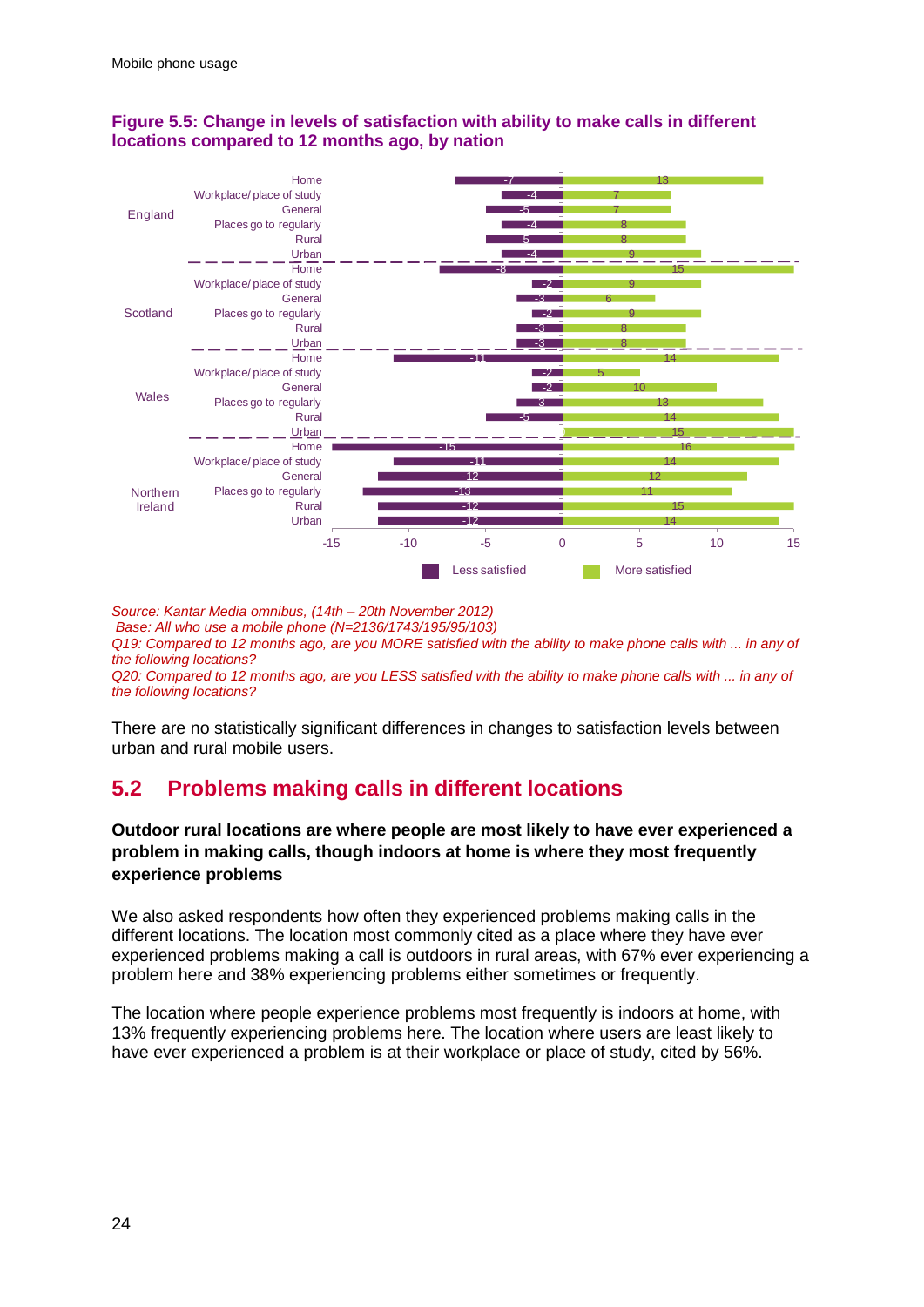![](_page_26_Figure_1.jpeg)

### **Figure 5.5: Change in levels of satisfaction with ability to make calls in different locations compared to 12 months ago, by nation**

*Source: Kantar Media omnibus, (14th – 20th November 2012) Base: All who use a mobile phone (N=2136/1743/195/95/103) Q19: Compared to 12 months ago, are you MORE satisfied with the ability to make phone calls with ... in any of the following locations? Q20: Compared to 12 months ago, are you LESS satisfied with the ability to make phone calls with ... in any of the following locations?*

There are no statistically significant differences in changes to satisfaction levels between urban and rural mobile users.

## **5.2 Problems making calls in different locations**

### **Outdoor rural locations are where people are most likely to have ever experienced a problem in making calls, though indoors at home is where they most frequently experience problems**

We also asked respondents how often they experienced problems making calls in the different locations. The location most commonly cited as a place where they have ever experienced problems making a call is outdoors in rural areas, with 67% ever experiencing a problem here and 38% experiencing problems either sometimes or frequently.

The location where people experience problems most frequently is indoors at home, with 13% frequently experiencing problems here. The location where users are least likely to have ever experienced a problem is at their workplace or place of study, cited by 56%.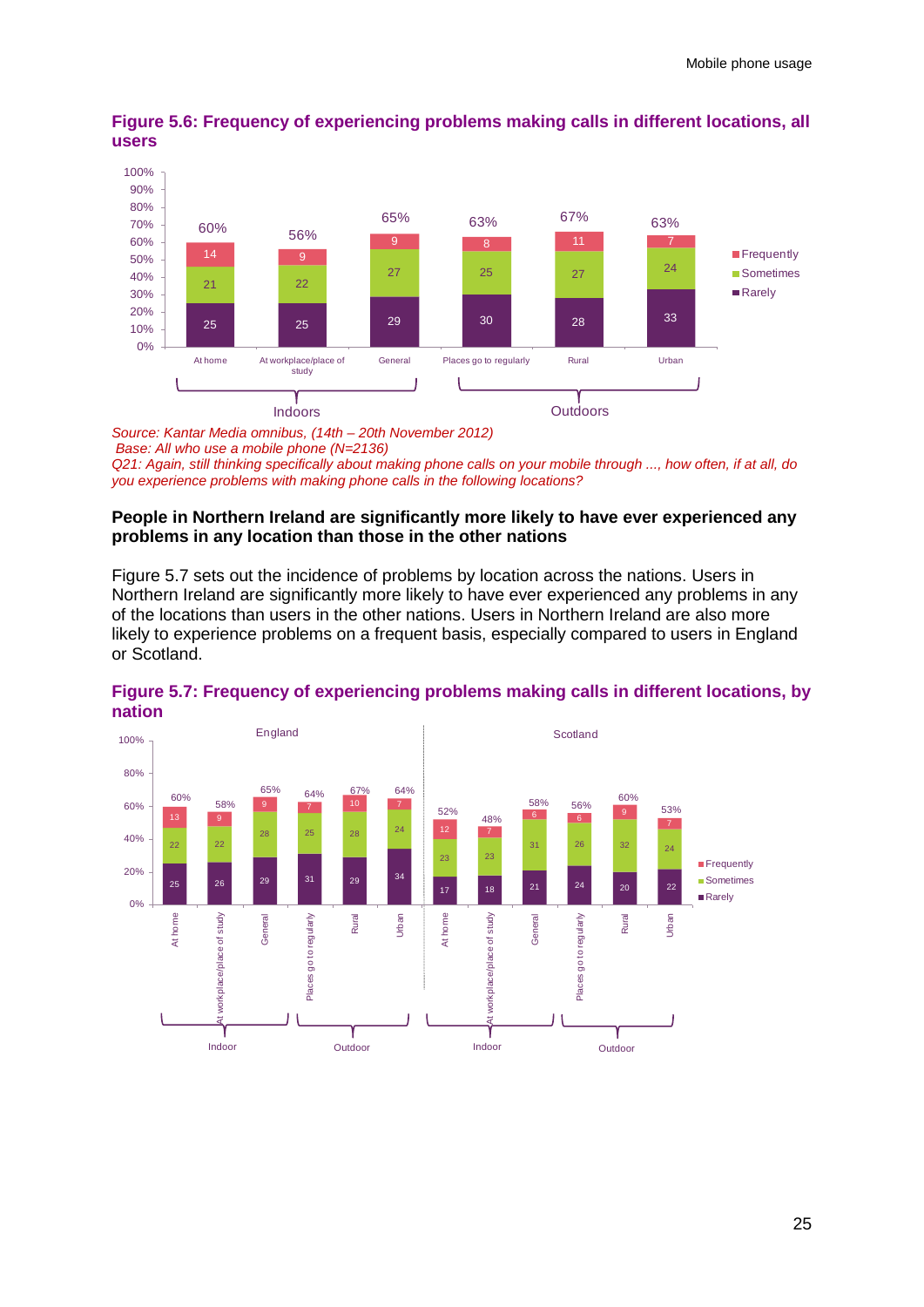![](_page_27_Figure_1.jpeg)

**Figure 5.6: Frequency of experiencing problems making calls in different locations, all users**

*Source: Kantar Media omnibus, (14th – 20th November 2012) Base: All who use a mobile phone (N=2136) Q21: Again, still thinking specifically about making phone calls on your mobile through ..., how often, if at all, do you experience problems with making phone calls in the following locations?*

### **People in Northern Ireland are significantly more likely to have ever experienced any problems in any location than those in the other nations**

Figure 5.7 sets out the incidence of problems by location across the nations. Users in Northern Ireland are significantly more likely to have ever experienced any problems in any of the locations than users in the other nations. Users in Northern Ireland are also more likely to experience problems on a frequent basis, especially compared to users in England or Scotland.

![](_page_27_Figure_6.jpeg)

**Figure 5.7: Frequency of experiencing problems making calls in different locations, by nation**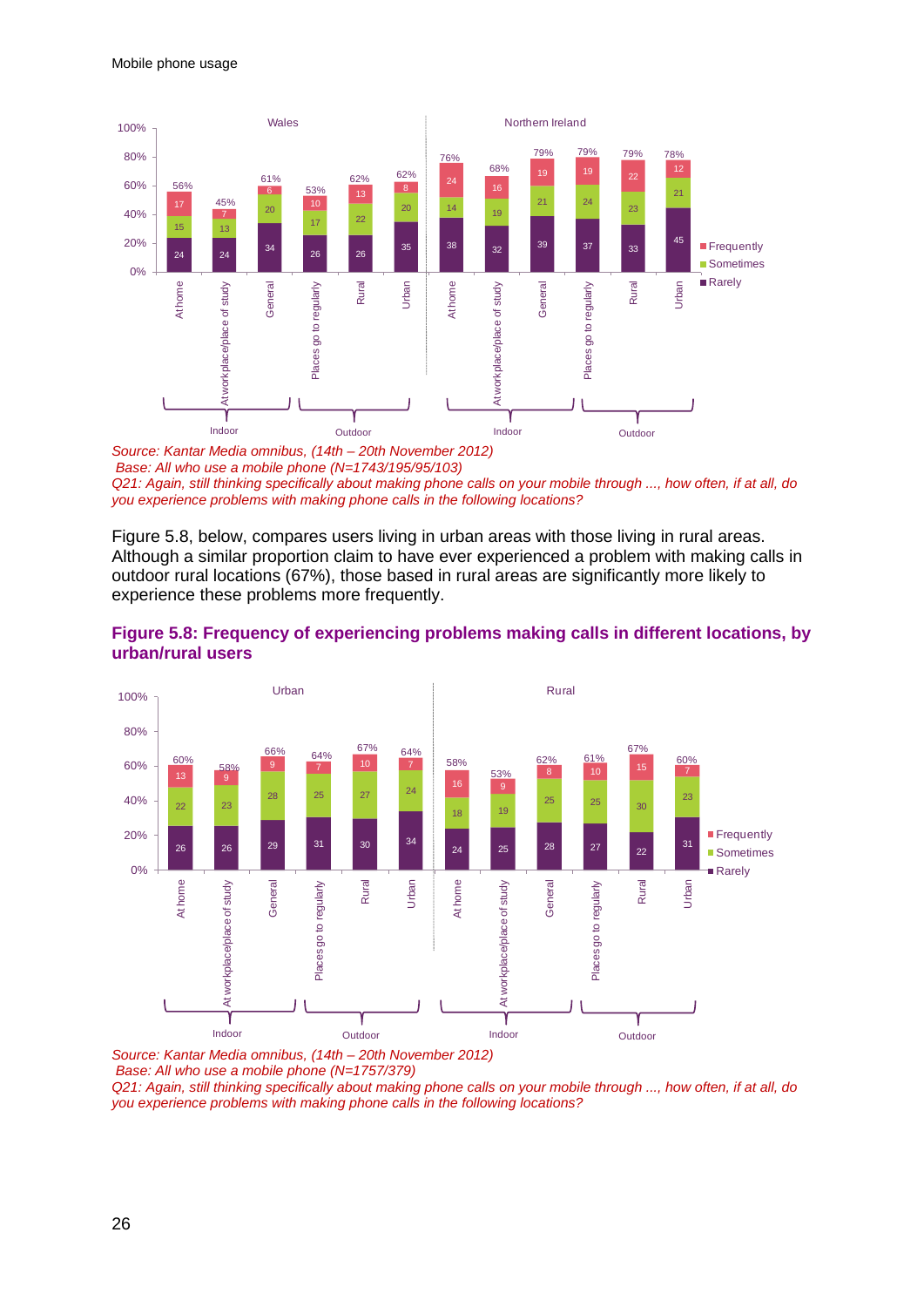![](_page_28_Figure_1.jpeg)

*Source: Kantar Media omnibus, (14th – 20th November 2012) Base: All who use a mobile phone (N=1743/195/95/103) Q21: Again, still thinking specifically about making phone calls on your mobile through ..., how often, if at all, do you experience problems with making phone calls in the following locations?*

Figure 5.8, below, compares users living in urban areas with those living in rural areas. Although a similar proportion claim to have ever experienced a problem with making calls in outdoor rural locations (67%), those based in rural areas are significantly more likely to experience these problems more frequently.

![](_page_28_Figure_4.jpeg)

### **Figure 5.8: Frequency of experiencing problems making calls in different locations, by urban/rural users**

*Source: Kantar Media omnibus, (14th – 20th November 2012) Base: All who use a mobile phone (N=1757/379)* 

*Q21: Again, still thinking specifically about making phone calls on your mobile through ..., how often, if at all, do you experience problems with making phone calls in the following locations?*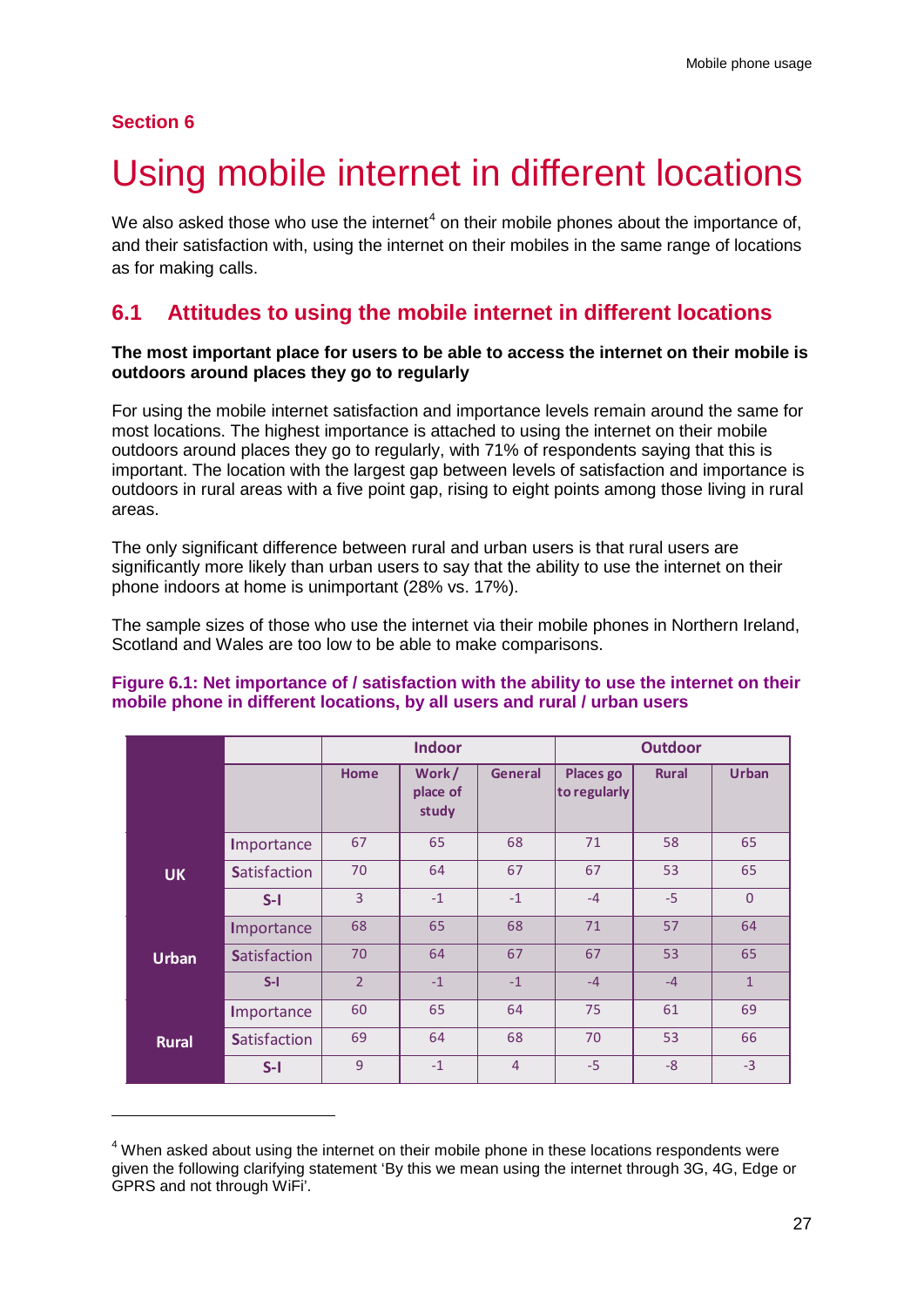### **Section 6**

-

# <span id="page-29-0"></span>Using mobile internet in different locations

We also asked those who use the internet<sup>[4](#page-29-1)</sup> on their mobile phones about the importance of, and their satisfaction with, using the internet on their mobiles in the same range of locations as for making calls.

## **6.1 Attitudes to using the mobile internet in different locations**

### **The most important place for users to be able to access the internet on their mobile is outdoors around places they go to regularly**

For using the mobile internet satisfaction and importance levels remain around the same for most locations. The highest importance is attached to using the internet on their mobile outdoors around places they go to regularly, with 71% of respondents saying that this is important. The location with the largest gap between levels of satisfaction and importance is outdoors in rural areas with a five point gap, rising to eight points among those living in rural areas.

The only significant difference between rural and urban users is that rural users are significantly more likely than urban users to say that the ability to use the internet on their phone indoors at home is unimportant (28% vs. 17%).

The sample sizes of those who use the internet via their mobile phones in Northern Ireland, Scotland and Wales are too low to be able to make comparisons.

|              |                     | <b>Indoor</b>  |                            | <b>Outdoor</b> |                           |              |                |
|--------------|---------------------|----------------|----------------------------|----------------|---------------------------|--------------|----------------|
|              |                     | <b>Home</b>    | Work/<br>place of<br>study | <b>General</b> | Places go<br>to regularly | <b>Rural</b> | <b>Urban</b>   |
|              | Importance          | 67             | 65                         | 68             | 71                        | 58           | 65             |
| <b>UK</b>    | <b>Satisfaction</b> | 70             | 64                         | 67             | 67                        | 53           | 65             |
|              | $S-I$               | $\overline{3}$ | $-1$                       | $-1$           | $-4$                      | $-5$         | $\overline{0}$ |
|              | Importance          | 68             | 65                         | 68             | 71                        | 57           | 64             |
| <b>Urban</b> | <b>Satisfaction</b> | 70             | 64                         | 67             | 67                        | 53           | 65             |
|              | $S-I$               | $\overline{2}$ | $-1$                       | $-1$           | $-4$                      | $-4$         | $\mathbf{1}$   |
|              | Importance          | 60             | 65                         | 64             | 75                        | 61           | 69             |
| <b>Rural</b> | <b>Satisfaction</b> | 69             | 64                         | 68             | 70                        | 53           | 66             |
|              | $S-I$               | 9              | $-1$                       | $\overline{4}$ | $-5$                      | $-8$         | $-3$           |

### **Figure 6.1: Net importance of / satisfaction with the ability to use the internet on their mobile phone in different locations, by all users and rural / urban users**

<span id="page-29-1"></span><sup>&</sup>lt;sup>4</sup> When asked about using the internet on their mobile phone in these locations respondents were given the following clarifying statement 'By this we mean using the internet through 3G, 4G, Edge or GPRS and not through WiFi'.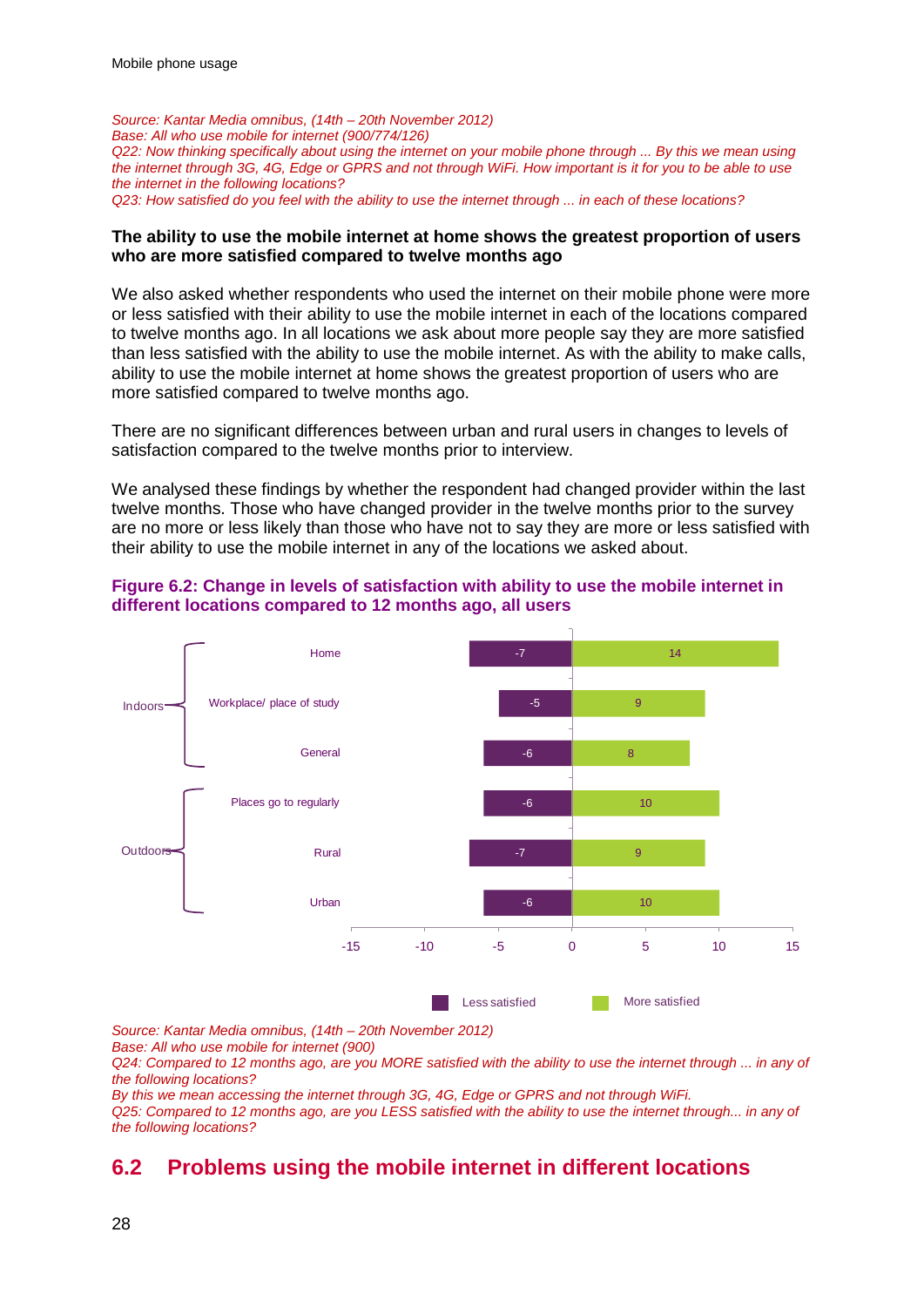*Source: Kantar Media omnibus, (14th – 20th November 2012) Base: All who use mobile for internet (900/774/126) Q22: Now thinking specifically about using the internet on your mobile phone through ... By this we mean using the internet through 3G, 4G, Edge or GPRS and not through WiFi. How important is it for you to be able to use the internet in the following locations? Q23: How satisfied do you feel with the ability to use the internet through ... in each of these locations?* 

### **The ability to use the mobile internet at home shows the greatest proportion of users who are more satisfied compared to twelve months ago**

We also asked whether respondents who used the internet on their mobile phone were more or less satisfied with their ability to use the mobile internet in each of the locations compared to twelve months ago. In all locations we ask about more people say they are more satisfied than less satisfied with the ability to use the mobile internet. As with the ability to make calls, ability to use the mobile internet at home shows the greatest proportion of users who are more satisfied compared to twelve months ago.

There are no significant differences between urban and rural users in changes to levels of satisfaction compared to the twelve months prior to interview.

We analysed these findings by whether the respondent had changed provider within the last twelve months. Those who have changed provider in the twelve months prior to the survey are no more or less likely than those who have not to say they are more or less satisfied with their ability to use the mobile internet in any of the locations we asked about.

### **Figure 6.2: Change in levels of satisfaction with ability to use the mobile internet in different locations compared to 12 months ago, all users**

![](_page_30_Figure_7.jpeg)

*Source: Kantar Media omnibus, (14th – 20th November 2012)*

*Base: All who use mobile for internet (900)*

*Q24: Compared to 12 months ago, are you MORE satisfied with the ability to use the internet through ... in any of the following locations?*

*By this we mean accessing the internet through 3G, 4G, Edge or GPRS and not through WiFi. Q25: Compared to 12 months ago, are you LESS satisfied with the ability to use the internet through... in any of the following locations?*

## **6.2 Problems using the mobile internet in different locations**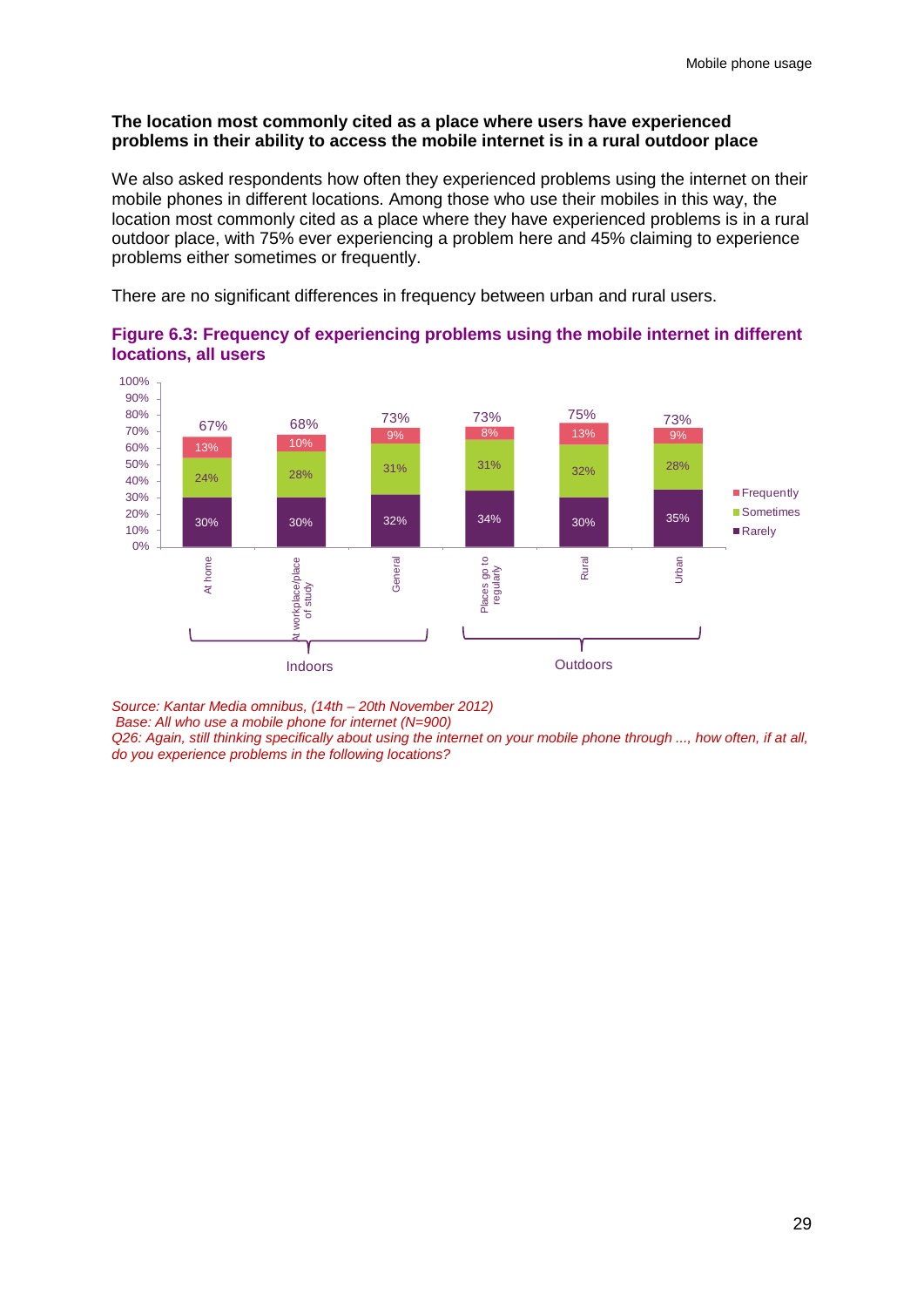### **The location most commonly cited as a place where users have experienced problems in their ability to access the mobile internet is in a rural outdoor place**

We also asked respondents how often they experienced problems using the internet on their mobile phones in different locations. Among those who use their mobiles in this way, the location most commonly cited as a place where they have experienced problems is in a rural outdoor place, with 75% ever experiencing a problem here and 45% claiming to experience problems either sometimes or frequently.

There are no significant differences in frequency between urban and rural users.

![](_page_31_Figure_4.jpeg)

### **Figure 6.3: Frequency of experiencing problems using the mobile internet in different locations, all users**

*Source: Kantar Media omnibus, (14th – 20th November 2012)*

*Base: All who use a mobile phone for internet (N=900)* 

*Q26: Again, still thinking specifically about using the internet on your mobile phone through ..., how often, if at all, do you experience problems in the following locations?*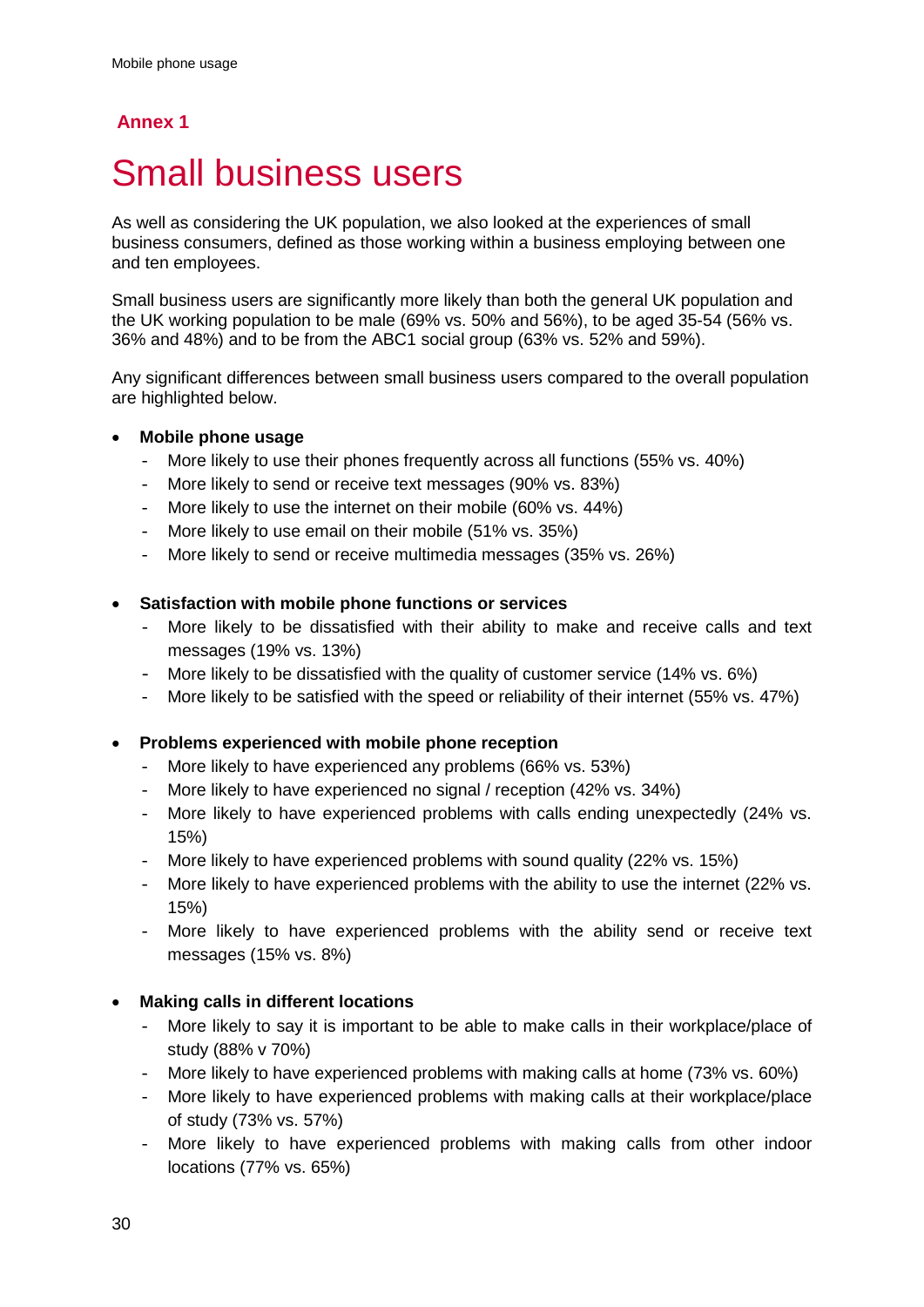### **Annex 1**

## <span id="page-32-0"></span>**Small business users**

As well as considering the UK population, we also looked at the experiences of small business consumers, defined as those working within a business employing between one and ten employees.

Small business users are significantly more likely than both the general UK population and the UK working population to be male (69% vs. 50% and 56%), to be aged 35-54 (56% vs. 36% and 48%) and to be from the ABC1 social group (63% vs. 52% and 59%).

Any significant differences between small business users compared to the overall population are highlighted below.

### • **Mobile phone usage**

- More likely to use their phones frequently across all functions (55% vs. 40%)
- More likely to send or receive text messages (90% vs. 83%)
- More likely to use the internet on their mobile (60% vs. 44%)
- More likely to use email on their mobile (51% vs. 35%)
- More likely to send or receive multimedia messages (35% vs. 26%)

### • **Satisfaction with mobile phone functions or services**

- More likely to be dissatisfied with their ability to make and receive calls and text messages (19% vs. 13%)
- More likely to be dissatisfied with the quality of customer service (14% vs. 6%)
- More likely to be satisfied with the speed or reliability of their internet (55% vs. 47%)

### • **Problems experienced with mobile phone reception**

- More likely to have experienced any problems (66% vs. 53%)
- More likely to have experienced no signal / reception (42% vs. 34%)
- More likely to have experienced problems with calls ending unexpectedly (24% vs. 15%)
- More likely to have experienced problems with sound quality (22% vs. 15%)
- More likely to have experienced problems with the ability to use the internet (22% vs. 15%)
- More likely to have experienced problems with the ability send or receive text messages (15% vs. 8%)

### • **Making calls in different locations**

- More likely to say it is important to be able to make calls in their workplace/place of study (88% v 70%)
- More likely to have experienced problems with making calls at home (73% vs. 60%)
- More likely to have experienced problems with making calls at their workplace/place of study (73% vs. 57%)
- More likely to have experienced problems with making calls from other indoor locations (77% vs. 65%)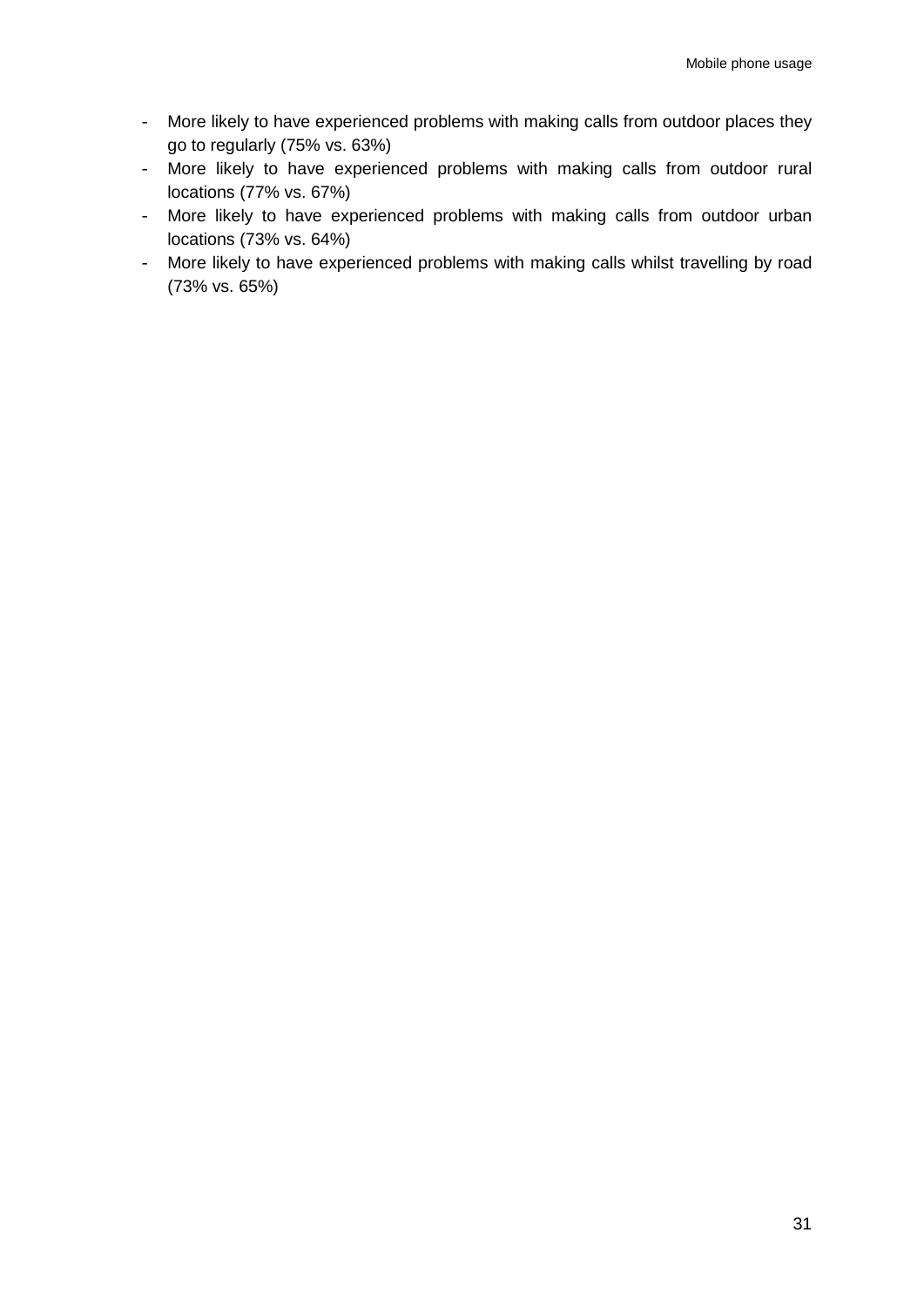- More likely to have experienced problems with making calls from outdoor places they go to regularly (75% vs. 63%)
- More likely to have experienced problems with making calls from outdoor rural locations (77% vs. 67%)
- More likely to have experienced problems with making calls from outdoor urban locations (73% vs. 64%)
- More likely to have experienced problems with making calls whilst travelling by road (73% vs. 65%)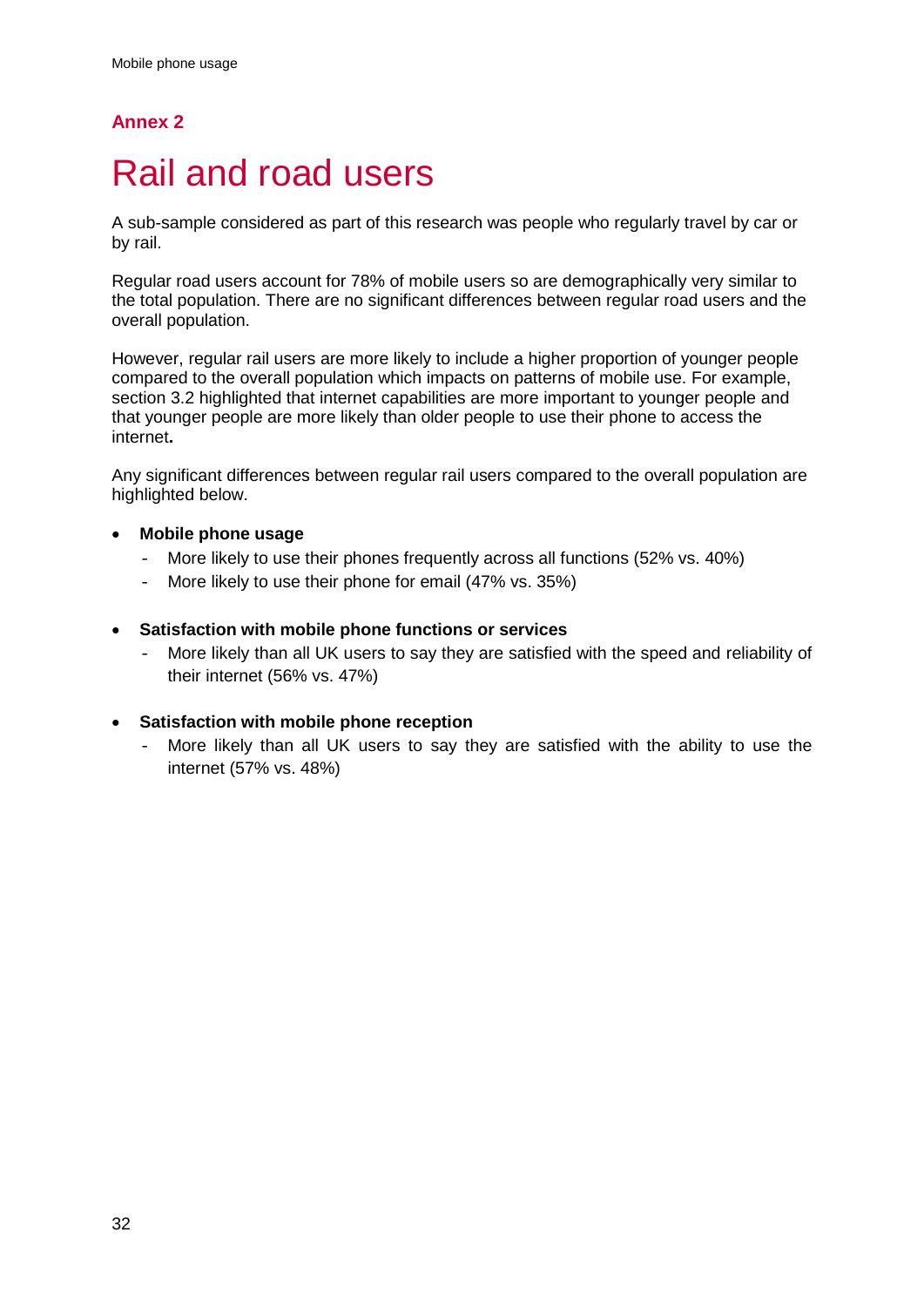## **Annex 2**

# <span id="page-34-0"></span>Rail and road users

A sub-sample considered as part of this research was people who regularly travel by car or by rail.

Regular road users account for 78% of mobile users so are demographically very similar to the total population. There are no significant differences between regular road users and the overall population.

However, regular rail users are more likely to include a higher proportion of younger people compared to the overall population which impacts on patterns of mobile use. For example, section 3.2 highlighted that internet capabilities are more important to younger people and that younger people are more likely than older people to use their phone to access the internet**.**

Any significant differences between regular rail users compared to the overall population are highlighted below.

### • **Mobile phone usage**

- More likely to use their phones frequently across all functions (52% vs. 40%)
- More likely to use their phone for email (47% vs. 35%)
- **Satisfaction with mobile phone functions or services**
	- More likely than all UK users to say they are satisfied with the speed and reliability of their internet (56% vs. 47%)
- **Satisfaction with mobile phone reception**
	- More likely than all UK users to say they are satisfied with the ability to use the internet (57% vs. 48%)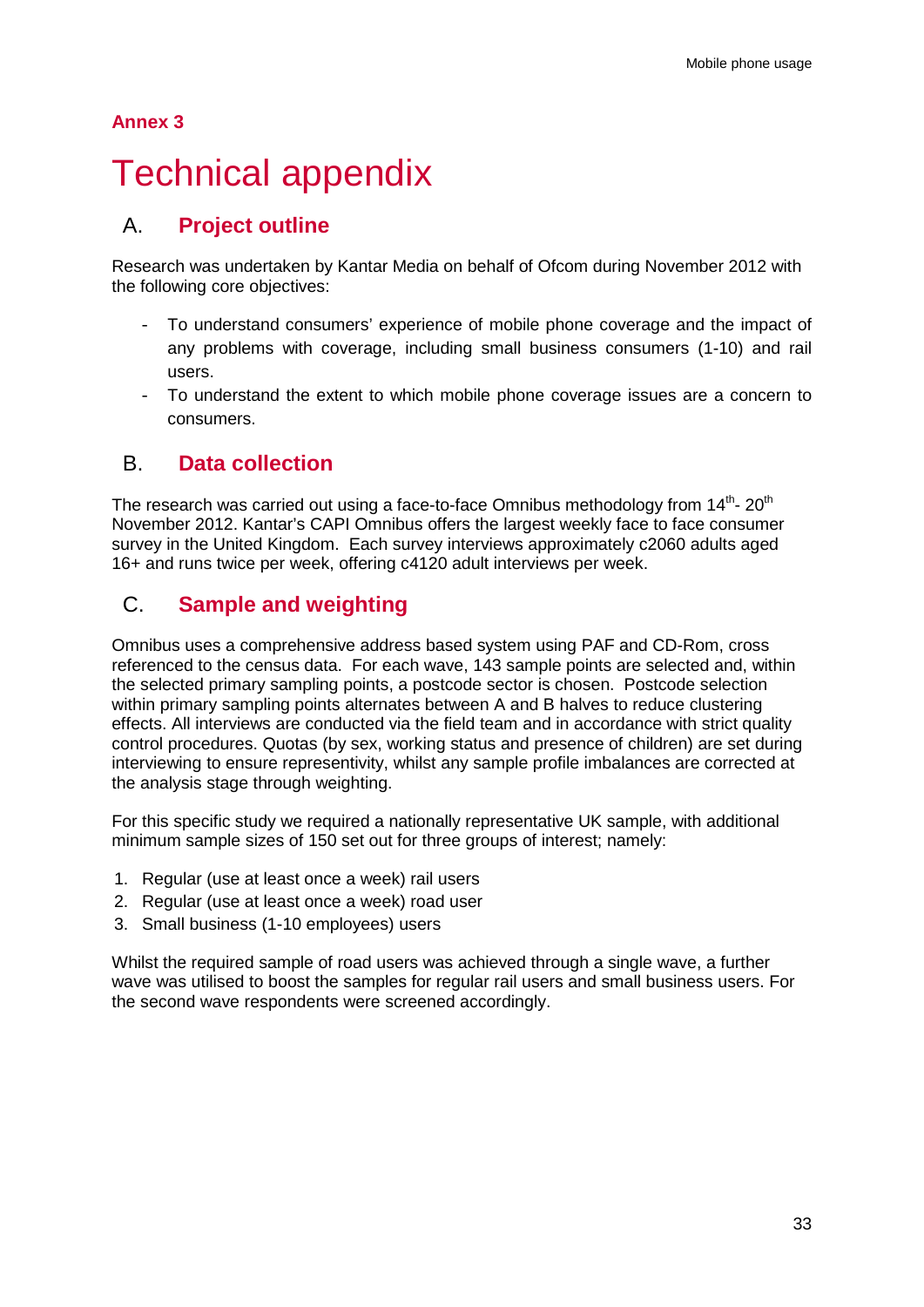### **Annex 3**

# <span id="page-35-0"></span>**Technical appendix**

## A. **Project outline**

Research was undertaken by Kantar Media on behalf of Ofcom during November 2012 with the following core objectives:

- To understand consumers' experience of mobile phone coverage and the impact of any problems with coverage, including small business consumers (1-10) and rail users.
- To understand the extent to which mobile phone coverage issues are a concern to consumers.

### B. **Data collection**

The research was carried out using a face-to-face Omnibus methodology from  $14<sup>th</sup>$ - 20<sup>th</sup> November 2012. Kantar's CAPI Omnibus offers the largest weekly face to face consumer survey in the United Kingdom. Each survey interviews approximately c2060 adults aged 16+ and runs twice per week, offering c4120 adult interviews per week.

## C. **Sample and weighting**

Omnibus uses a comprehensive address based system using PAF and CD-Rom, cross referenced to the census data. For each wave, 143 sample points are selected and, within the selected primary sampling points, a postcode sector is chosen. Postcode selection within primary sampling points alternates between A and B halves to reduce clustering effects. All interviews are conducted via the field team and in accordance with strict quality control procedures. Quotas (by sex, working status and presence of children) are set during interviewing to ensure representivity, whilst any sample profile imbalances are corrected at the analysis stage through weighting.

For this specific study we required a nationally representative UK sample, with additional minimum sample sizes of 150 set out for three groups of interest; namely:

- 1. Regular (use at least once a week) rail users
- 2. Regular (use at least once a week) road user
- 3. Small business (1-10 employees) users

Whilst the required sample of road users was achieved through a single wave, a further wave was utilised to boost the samples for regular rail users and small business users. For the second wave respondents were screened accordingly.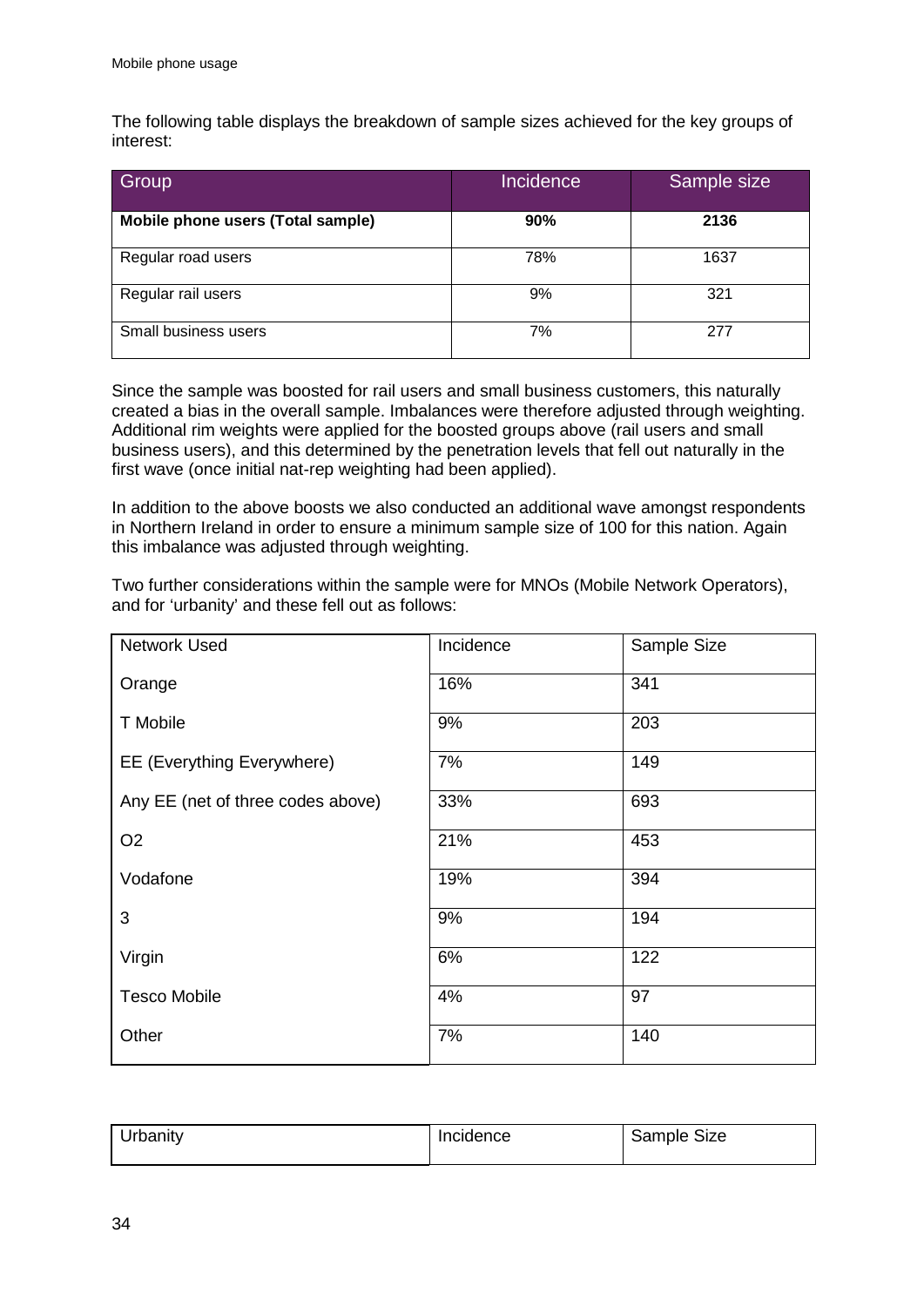The following table displays the breakdown of sample sizes achieved for the key groups of interest:

| Group                             | Incidence | Sample size |
|-----------------------------------|-----------|-------------|
| Mobile phone users (Total sample) | 90%       | 2136        |
| Regular road users                | 78%       | 1637        |
| Regular rail users                | 9%        | 321         |
| Small business users              | 7%        | 277         |

Since the sample was boosted for rail users and small business customers, this naturally created a bias in the overall sample. Imbalances were therefore adjusted through weighting. Additional rim weights were applied for the boosted groups above (rail users and small business users), and this determined by the penetration levels that fell out naturally in the first wave (once initial nat-rep weighting had been applied).

In addition to the above boosts we also conducted an additional wave amongst respondents in Northern Ireland in order to ensure a minimum sample size of 100 for this nation. Again this imbalance was adjusted through weighting.

Two further considerations within the sample were for MNOs (Mobile Network Operators), and for 'urbanity' and these fell out as follows:

| <b>Network Used</b>               | Incidence | Sample Size |
|-----------------------------------|-----------|-------------|
| Orange                            | 16%       | 341         |
| T Mobile                          | 9%        | 203         |
| EE (Everything Everywhere)        | 7%        | 149         |
| Any EE (net of three codes above) | 33%       | 693         |
| O <sub>2</sub>                    | 21%       | 453         |
| Vodafone                          | 19%       | 394         |
| 3                                 | 9%        | 194         |
| Virgin                            | 6%        | 122         |
| <b>Tesco Mobile</b>               | 4%        | 97          |
| Other                             | 7%        | 140         |

| <b>Jrbanity</b> | <b>Incidence</b> | Size<br>Sample |
|-----------------|------------------|----------------|
|                 |                  |                |